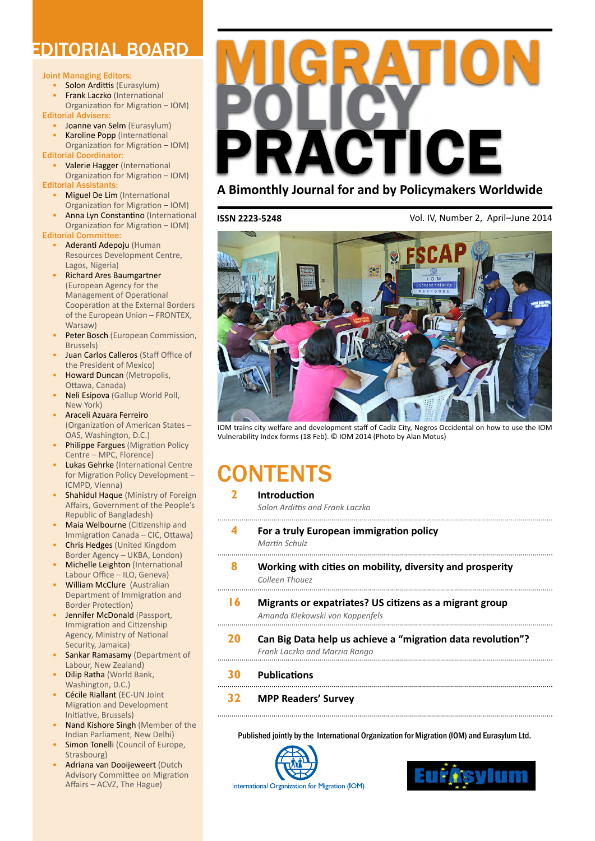# EDITORIAL BOARD

#### Joint Managing Editors:

- Solon Ardittis (Eurasylum)
- **Frank Laczko (International**

Organization for Migration – IOM) Editorial Advisers:

• Joanne van Selm (Eurasylum)

**Karoline Popp (International** Organization for Migration – IOM)

Editorial Coordinator: • Valerie Hagger (International

Organization for Migration – IOM) Editorial Assistants:

- **Miguel De Lim (International**
- Organization for Migration IOM) Anna Lyn Constantino (International
- Organization for Migration IOM) Editorial Committee:
	- • Aderanti Adepoju (Human Resources Development Centre, Lagos, Nigeria)
	- **Richard Ares Baumgartner** (European Agency for the Management of Operational Cooperation at the External Borders of the European Union – FRONTEX, Warsaw)
	- Peter Bosch (European Commission, Brussels)
	- Juan Carlos Calleros (Staff Office of the President of Mexico)
	- Howard Duncan (Metropolis, Ottawa, Canada)
	- Neli Esipova (Gallup World Poll, New York)
	- Araceli Azuara Ferreiro (Organization of American States – OAS, Washington, D.C.)
	- Philippe Fargues (Migration Policy Centre – MPC, Florence)
	- Lukas Gehrke (International Centre for Migration Policy Development – ICMPD, Vienna)
	- Shahidul Haque (Ministry of Foreign Affairs, Government of the People's Republic of Bangladesh)
	- Maia Welbourne (Citizenship and Immigration Canada – CIC, Ottawa)
	- Chris Hedges (United Kingdom Border Agency – UKBA, London)
	- **Michelle Leighton** (International Labour Office – ILO, Geneva)
	- **William McClure** (Australian Department of Immigration and Border Protection)
	- Jennifer McDonald (Passport, Immigration and Citizenship Agency, Ministry of National Security, Jamaica)
	- Sankar Ramasamy (Department of Labour, New Zealand)
	- **Dilip Ratha (World Bank,** Washington, D.C.)
	- **Cécile Riallant (EC-UN Joint)** Migration and Development Initiative, Brussels)
	- Nand Kishore Singh (Member of the Indian Parliament, New Delhi)
	- Simon Tonelli (Council of Europe, Strasbourg)
	- Adriana van Dooijeweert (Dutch Advisory Committee on Migration Affairs – ACVZ, The Hague)



# **A Bimonthly Journal for and by Policymakers Worldwide**

**ISSN 2223-5248**

Vol. IV, Number 2, April–June 2014



IOM trains city welfare and development staff of Cadiz City, Negros Occidental on how to use the IOM Vulnerability Index forms (18 Feb). © IOM 2014 (Photo by Alan Motus)

# **CONTENTS**

#### **2 [Introduction](#page-1-0)**

*Solon Ardittis and Frank Laczko*

- **4 [For a truly European immigration policy](#page-3-0)** *Martin Schulz*
- **8 [Working with cities on mobility, diversity and prosperity](#page-7-0)** *Colleen Thouez*
- **16 [Migrants or expatriates? US citizens as a migrant group](#page-15-0)**

*Amanda Klekowski von Koppenfels*

- **20 [Can Big Data help us achieve a "migration data revolution"?](#page-19-0)** *Frank Laczko and Marzia Rango*
- **30 [Publications](#page-29-0)**
- **32 [MPP Readers' Survey](#page-31-0)**

Published jointly by the International Organization for Migration (IOM) and Eurasylum Ltd.



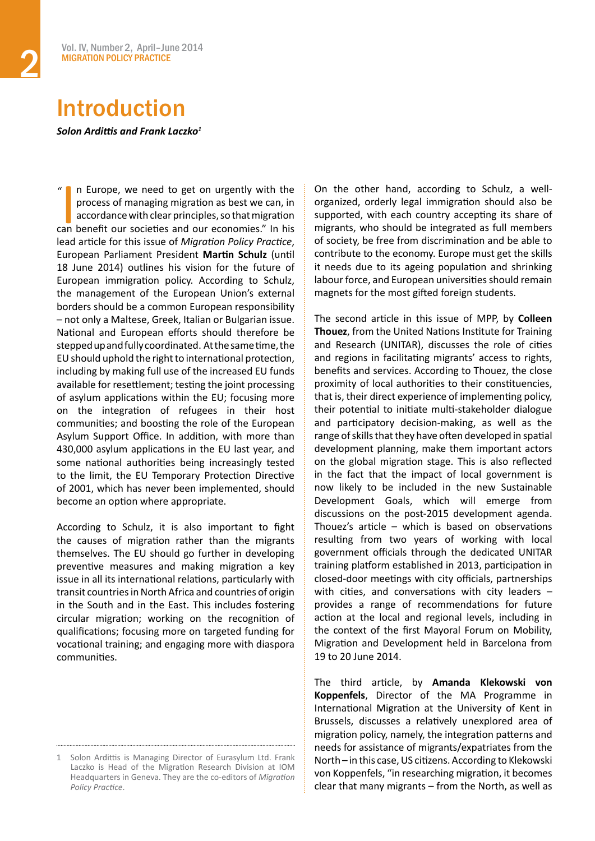# <span id="page-1-0"></span>Introduction

*Solon Ardittis and Frank Laczko<sup>1</sup>*

<sup>"</sup> In Europe, we need to get on urgently with the process of managing migration as best we can, in accordance with clear principles, so that migration can benefit our societies and our economies." In his n Europe, we need to get on urgently with the process of managing migration as best we can, in accordance with clear principles, so that migration lead article for this issue of *Migration Policy Practice*, European Parliament President **Martin Schulz** (until 18 June 2014) outlines his vision for the future of European immigration policy. According to Schulz, the management of the European Union's external borders should be a common European responsibility – not only a Maltese, Greek, Italian or Bulgarian issue. National and European efforts should therefore be steppedupandfullycoordinated. Atthesametime,the EU should uphold the right to international protection, including by making full use of the increased EU funds available for resettlement; testing the joint processing of asylum applications within the EU; focusing more on the integration of refugees in their host communities; and boosting the role of the European Asylum Support Office. In addition, with more than 430,000 asylum applications in the EU last year, and some national authorities being increasingly tested to the limit, the EU Temporary Protection Directive of 2001, which has never been implemented, should become an option where appropriate.  $\mathbf{a}$ 

According to Schulz, it is also important to fight the causes of migration rather than the migrants themselves. The EU should go further in developing preventive measures and making migration a key issue in all its international relations, particularly with transit countries in North Africa and countries of origin in the South and in the East. This includes fostering circular migration; working on the recognition of qualifications; focusing more on targeted funding for vocational training; and engaging more with diaspora communities.

On the other hand, according to Schulz, a wellorganized, orderly legal immigration should also be supported, with each country accepting its share of migrants, who should be integrated as full members of society, be free from discrimination and be able to contribute to the economy. Europe must get the skills it needs due to its ageing population and shrinking labour force, and European universities should remain magnets for the most gifted foreign students.

The second article in this issue of MPP, by **Colleen Thouez**, from the United Nations Institute for Training and Research (UNITAR), discusses the role of cities and regions in facilitating migrants' access to rights, benefits and services. According to Thouez, the close proximity of local authorities to their constituencies, that is, their direct experience of implementing policy, their potential to initiate multi-stakeholder dialogue and participatory decision-making, as well as the range of skills that they have often developed in spatial development planning, make them important actors on the global migration stage. This is also reflected in the fact that the impact of local government is now likely to be included in the new Sustainable Development Goals, which will emerge from discussions on the post-2015 development agenda. Thouez's article  $-$  which is based on observations resulting from two years of working with local government officials through the dedicated UNITAR training platform established in 2013, participation in closed-door meetings with city officials, partnerships with cities, and conversations with city leaders  $$ provides a range of recommendations for future action at the local and regional levels, including in the context of the first Mayoral Forum on Mobility, Migration and Development held in Barcelona from 19 to 20 June 2014.

The third article, by **Amanda Klekowski von Koppenfels**, Director of the MA Programme in International Migration at the University of Kent in Brussels, discusses a relatively unexplored area of migration policy, namely, the integration patterns and needs for assistance of migrants/expatriates from the North – in this case, US citizens. According to Klekowski von Koppenfels, "in researching migration, it becomes clear that many migrants – from the North, as well as

<sup>1</sup> Solon Ardittis is Managing Director of Eurasylum Ltd. Frank Laczko is Head of the Migration Research Division at IOM Headquarters in Geneva. They are the co-editors of *Migration Policy Practice*.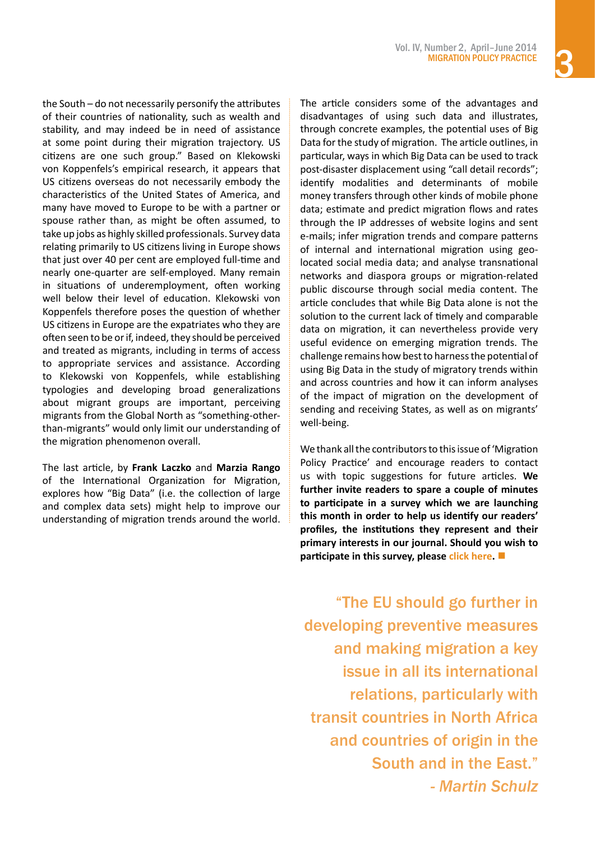the South – do not necessarily personify the attributes of their countries of nationality, such as wealth and stability, and may indeed be in need of assistance at some point during their migration trajectory. US citizens are one such group." Based on Klekowski von Koppenfels's empirical research, it appears that US citizens overseas do not necessarily embody the characteristics of the United States of America, and many have moved to Europe to be with a partner or spouse rather than, as might be often assumed, to take up jobs as highly skilled professionals. Survey data relating primarily to US citizens living in Europe shows that just over 40 per cent are employed full-time and nearly one-quarter are self-employed. Many remain in situations of underemployment, often working well below their level of education. Klekowski von Koppenfels therefore poses the question of whether US citizens in Europe are the expatriates who they are often seen to be or if, indeed, they should be perceived and treated as migrants, including in terms of access to appropriate services and assistance. According to Klekowski von Koppenfels, while establishing typologies and developing broad generalizations about migrant groups are important, perceiving migrants from the Global North as "something-otherthan-migrants" would only limit our understanding of the migration phenomenon overall.

The last article, by **Frank Laczko** and **Marzia Rango**  of the International Organization for Migration, explores how "Big Data" (i.e. the collection of large and complex data sets) might help to improve our understanding of migration trends around the world.

The article considers some of the advantages and disadvantages of using such data and illustrates, through concrete examples, the potential uses of Big Data for the study of migration. The article outlines, in particular, ways in which Big Data can be used to track post-disaster displacement using "call detail records"; identify modalities and determinants of mobile money transfers through other kinds of mobile phone data; estimate and predict migration flows and rates through the IP addresses of website logins and sent e-mails; infer migration trends and compare patterns of internal and international migration using geolocated social media data; and analyse transnational networks and diaspora groups or migration-related public discourse through social media content. The article concludes that while Big Data alone is not the solution to the current lack of timely and comparable data on migration, it can nevertheless provide very useful evidence on emerging migration trends. The challenge remains how best to harness the potential of using Big Data in the study of migratory trends within and across countries and how it can inform analyses of the impact of migration on the development of sending and receiving States, as well as on migrants' well-being.

We thank all the contributors to this issue of 'Migration Policy Practice' and encourage readers to contact us with topic suggestions for future articles. **We further invite readers to spare a couple of minutes to participate in a survey which we are launching this month in order to help us identify our readers' profiles, the institutions they represent and their primary interests in our journal. Should you wish to participate in this survey, please [click here.](https://www.surveymonkey.com/s/J3M7PS5)** 

"The EU should go further in developing preventive measures and making migration a key issue in all its international relations, particularly with transit countries in North Africa and countries of origin in the South and in the East." *- Martin Schulz*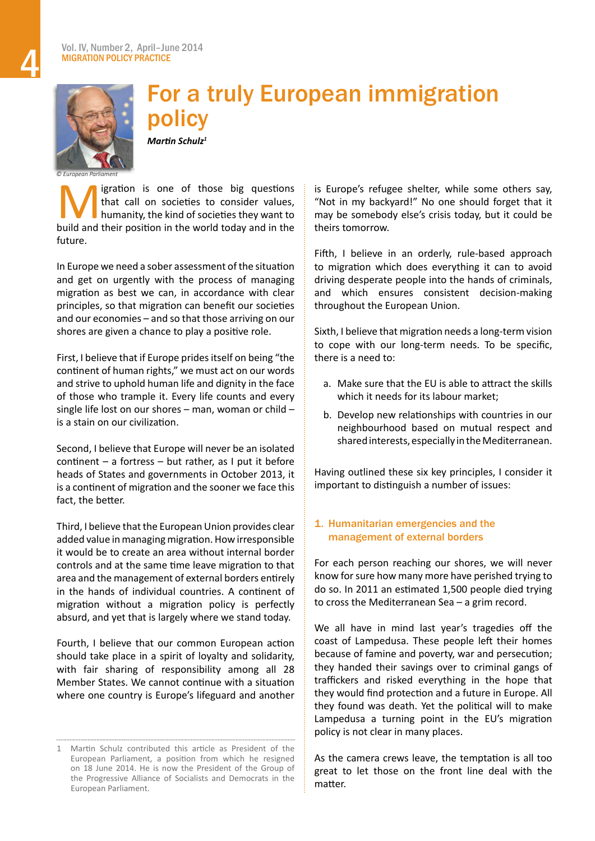<span id="page-3-0"></span>

# For a truly European immigration policy

*Martin Schulz<sup>1</sup>*

igration is one of those big questions that call on societies to consider values, humanity, the kind of societies they want to build and their position in the world today and in the future.

In Europe we need a sober assessment of the situation and get on urgently with the process of managing migration as best we can, in accordance with clear principles, so that migration can benefit our societies and our economies – and so that those arriving on our shores are given a chance to play a positive role.

First, I believe that if Europe pridesitself on being "the continent of human rights," we must act on our words and strive to uphold human life and dignity in the face of those who trample it. Every life counts and every single life lost on our shores – man, woman or child – is a stain on our civilization.

Second, I believe that Europe will never be an isolated continent – a fortress – but rather, as I put it before heads of States and governments in October 2013, it is a continent of migration and the sooner we face this fact, the better.

Third, I believe that the European Union provides clear added value in managing migration. How irresponsible it would be to create an area without internal border controls and at the same time leave migration to that area and the management of external borders entirely in the hands of individual countries. A continent of migration without a migration policy is perfectly absurd, and yet that is largely where we stand today.

Fourth, I believe that our common European action should take place in a spirit of loyalty and solidarity, with fair sharing of responsibility among all 28 Member States. We cannot continue with a situation where one country is Europe's lifeguard and another is Europe's refugee shelter, while some others say, "Not in my backyard!" No one should forget that it may be somebody else's crisis today, but it could be theirs tomorrow.

Fifth, I believe in an orderly, rule-based approach to migration which does everything it can to avoid driving desperate people into the hands of criminals, and which ensures consistent decision-making throughout the European Union.

Sixth, I believe that migration needs a long-term vision to cope with our long-term needs. To be specific, there is a need to:

- a. Make sure that the EU is able to attract the skills which it needs for its labour market;
- b. Develop new relationships with countries in our neighbourhood based on mutual respect and shared interests, especially in the Mediterranean.

Having outlined these six key principles, I consider it important to distinguish a number of issues:

# 1. Humanitarian emergencies and the management of external borders

For each person reaching our shores, we will never know for sure how many more have perished trying to do so. In 2011 an estimated 1,500 people died trying to cross the Mediterranean Sea – a grim record.

We all have in mind last year's tragedies off the coast of Lampedusa. These people left their homes because of famine and poverty, war and persecution; they handed their savings over to criminal gangs of traffickers and risked everything in the hope that they would find protection and a future in Europe. All they found was death. Yet the political will to make Lampedusa a turning point in the EU's migration policy is not clear in many places.

As the camera crews leave, the temptation is all too great to let those on the front line deal with the matter.

<sup>1</sup> Martin Schulz contributed this article as President of the European Parliament, a position from which he resigned on 18 June 2014. He is now the President of the Group of the Progressive Alliance of Socialists and Democrats in the European Parliament.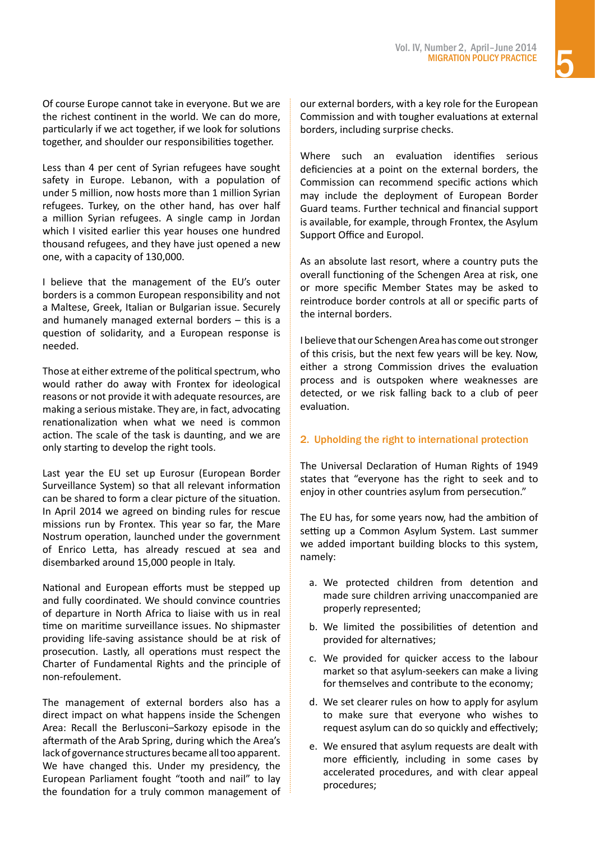Of course Europe cannot take in everyone. But we are the richest continent in the world. We can do more, particularly if we act together, if we look for solutions together, and shoulder our responsibilities together.

Less than 4 per cent of Syrian refugees have sought safety in Europe. Lebanon, with a population of under 5 million, now hosts more than 1 million Syrian refugees. Turkey, on the other hand, has over half a million Syrian refugees. A single camp in Jordan which I visited earlier this year houses one hundred thousand refugees, and they have just opened a new one, with a capacity of 130,000.

I believe that the management of the EU's outer borders is a common European responsibility and not a Maltese, Greek, Italian or Bulgarian issue. Securely and humanely managed external borders – this is a question of solidarity, and a European response is needed.

Those at either extreme of the political spectrum, who would rather do away with Frontex for ideological reasons or not provide it with adequate resources, are making a serious mistake. They are, in fact, advocating renationalization when what we need is common action. The scale of the task is daunting, and we are only starting to develop the right tools.

Last year the EU set up Eurosur (European Border Surveillance System) so that all relevant information can be shared to form a clear picture of the situation. In April 2014 we agreed on binding rules for rescue missions run by Frontex. This year so far, the Mare Nostrum operation, launched under the government of Enrico Letta, has already rescued at sea and disembarked around 15,000 people in Italy.

National and European efforts must be stepped up and fully coordinated. We should convince countries of departure in North Africa to liaise with us in real time on maritime surveillance issues. No shipmaster providing life-saving assistance should be at risk of prosecution. Lastly, all operations must respect the Charter of Fundamental Rights and the principle of non-refoulement.

The management of external borders also has a direct impact on what happens inside the Schengen Area: Recall the Berlusconi–Sarkozy episode in the aftermath of the Arab Spring, during which the Area's lack of governance structures became alltoo apparent. We have changed this. Under my presidency, the European Parliament fought "tooth and nail" to lay the foundation for a truly common management of

our external borders, with a key role for the European Commission and with tougher evaluations at external borders, including surprise checks.

Where such an evaluation identifies serious deficiencies at a point on the external borders, the Commission can recommend specific actions which may include the deployment of European Border Guard teams. Further technical and financial support is available, for example, through Frontex, the Asylum Support Office and Europol.

As an absolute last resort, where a country puts the overall functioning of the Schengen Area at risk, one or more specific Member States may be asked to reintroduce border controls at all or specific parts of the internal borders.

I believe that our Schengen Area has come out stronger of this crisis, but the next few years will be key. Now, either a strong Commission drives the evaluation process and is outspoken where weaknesses are detected, or we risk falling back to a club of peer evaluation.

# 2. Upholding the right to international protection

The Universal Declaration of Human Rights of 1949 states that "everyone has the right to seek and to enjoy in other countries asylum from persecution."

The EU has, for some years now, had the ambition of setting up a Common Asylum System. Last summer we added important building blocks to this system, namely:

- a. We protected children from detention and made sure children arriving unaccompanied are properly represented;
- b. We limited the possibilities of detention and provided for alternatives;
- c. We provided for quicker access to the labour market so that asylum-seekers can make a living for themselves and contribute to the economy;
- d. We set clearer rules on how to apply for asylum to make sure that everyone who wishes to request asylum can do so quickly and effectively;
- e. We ensured that asylum requests are dealt with more efficiently, including in some cases by accelerated procedures, and with clear appeal procedures;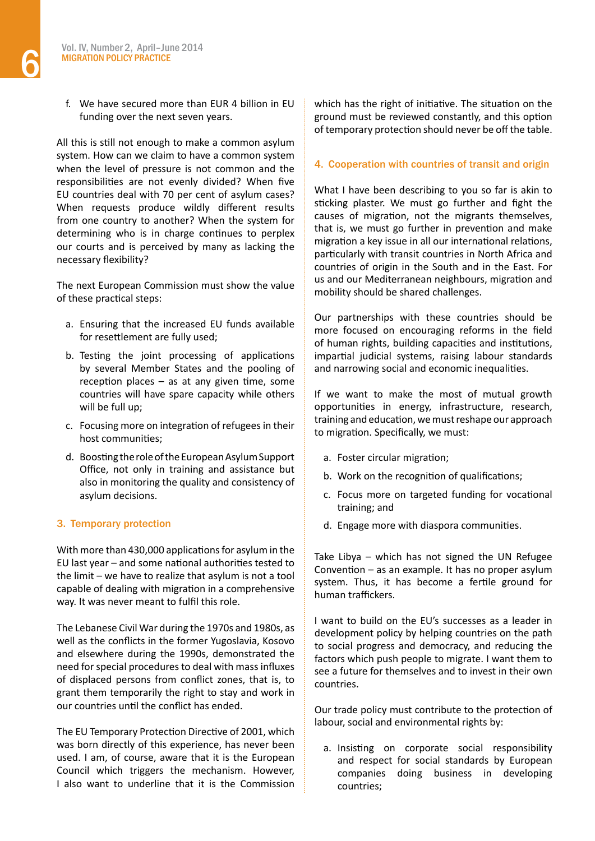f. We have secured more than EUR 4 billion in EU funding over the next seven years.

All this is still not enough to make a common asylum system. How can we claim to have a common system when the level of pressure is not common and the responsibilities are not evenly divided? When five EU countries deal with 70 per cent of asylum cases? When requests produce wildly different results from one country to another? When the system for determining who is in charge continues to perplex our courts and is perceived by many as lacking the necessary flexibility?

The next European Commission must show the value of these practical steps:

- a. Ensuring that the increased EU funds available for resettlement are fully used;
- b. Testing the joint processing of applications by several Member States and the pooling of reception places  $-$  as at any given time, some countries will have spare capacity while others will be full up;
- c. Focusing more on integration of refugees in their host communities;
- d. Boosting the role of the European Asylum Support Office, not only in training and assistance but also in monitoring the quality and consistency of asylum decisions.

# 3. Temporary protection

With more than 430,000 applications for asylum in the EU last year – and some national authorities tested to the limit – we have to realize that asylum is not a tool capable of dealing with migration in a comprehensive way. It was never meant to fulfil this role.

The Lebanese Civil War during the 1970s and 1980s, as well as the conflicts in the former Yugoslavia, Kosovo and elsewhere during the 1990s, demonstrated the need for special procedures to deal with mass influxes of displaced persons from conflict zones, that is, to grant them temporarily the right to stay and work in our countries until the conflict has ended.

The EU Temporary Protection Directive of 2001, which was born directly of this experience, has never been used. I am, of course, aware that it is the European Council which triggers the mechanism. However, I also want to underline that it is the Commission which has the right of initiative. The situation on the ground must be reviewed constantly, and this option of temporary protection should never be off the table.

# 4. Cooperation with countries of transit and origin

What I have been describing to you so far is akin to sticking plaster. We must go further and fight the causes of migration, not the migrants themselves, that is, we must go further in prevention and make migration a key issue in all our international relations, particularly with transit countries in North Africa and countries of origin in the South and in the East. For us and our Mediterranean neighbours, migration and mobility should be shared challenges.

Our partnerships with these countries should be more focused on encouraging reforms in the field of human rights, building capacities and institutions, impartial judicial systems, raising labour standards and narrowing social and economic inequalities.

If we want to make the most of mutual growth opportunities in energy, infrastructure, research, training and education, we must reshape our approach to migration. Specifically, we must:

- a. Foster circular migration;
- b. Work on the recognition of qualifications;
- c. Focus more on targeted funding for vocational training; and
- d. Engage more with diaspora communities.

Take Libya – which has not signed the UN Refugee Convention – as an example. It has no proper asylum system. Thus, it has become a fertile ground for human traffickers.

I want to build on the EU's successes as a leader in development policy by helping countries on the path to social progress and democracy, and reducing the factors which push people to migrate. I want them to see a future for themselves and to invest in their own countries.

Our trade policy must contribute to the protection of labour, social and environmental rights by:

a. Insisting on corporate social responsibility and respect for social standards by European companies doing business in developing countries;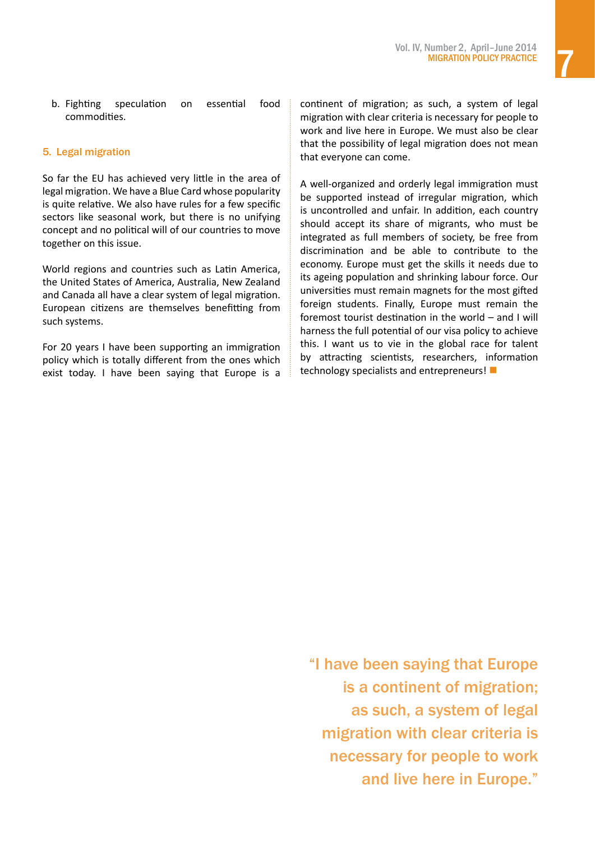b. Fighting speculation on essential food commodities.

# 5. Legal migration

So far the EU has achieved very little in the area of legal migration. We have a Blue Card whose popularity is quite relative. We also have rules for a few specific sectors like seasonal work, but there is no unifying concept and no political will of our countries to move together on this issue.

World regions and countries such as Latin America, the United States of America, Australia, New Zealand and Canada all have a clear system of legal migration. European citizens are themselves benefitting from such systems.

For 20 years I have been supporting an immigration policy which is totally different from the ones which exist today. I have been saying that Europe is a continent of migration; as such, a system of legal migration with clear criteria is necessary for people to work and live here in Europe. We must also be clear that the possibility of legal migration does not mean that everyone can come.

A well-organized and orderly legal immigration must be supported instead of irregular migration, which is uncontrolled and unfair. In addition, each country should accept its share of migrants, who must be integrated as full members of society, be free from discrimination and be able to contribute to the economy. Europe must get the skills it needs due to its ageing population and shrinking labour force. Our universities must remain magnets for the most gifted foreign students. Finally, Europe must remain the foremost tourist destination in the world – and I will harness the full potential of our visa policy to achieve this. I want us to vie in the global race for talent by attracting scientists, researchers, information technology specialists and entrepreneurs! $\blacksquare$ 

"I have been saying that Europe is a continent of migration; as such, a system of legal migration with clear criteria is necessary for people to work and live here in Europe."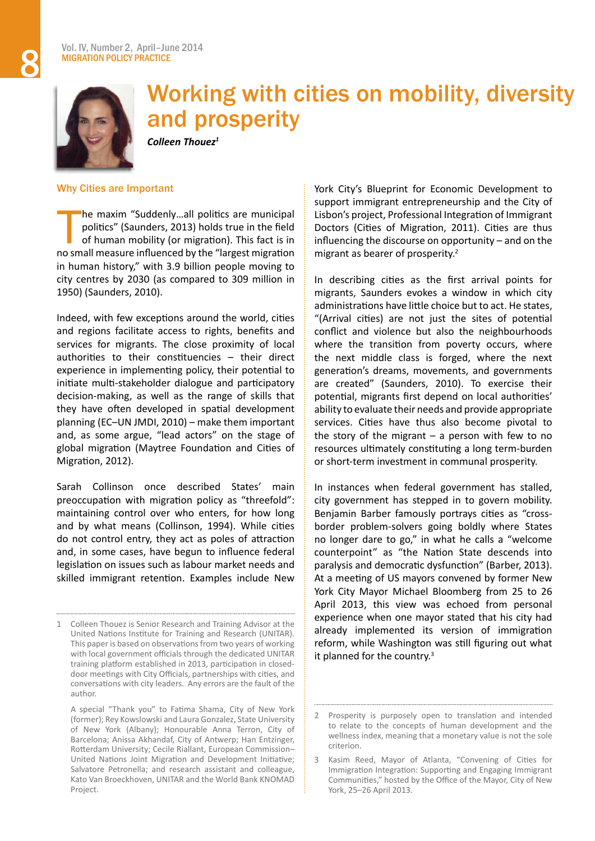<span id="page-7-0"></span>

# Working with cities on mobility, diversity and prosperity

*Colleen Thouez<sup>1</sup>*

### Why Cities are Important

T he maxim "Suddenly…all politics are municipal politics" (Saunders, 2013) holds true in the field of human mobility (or migration). This fact is in no small measure influenced by the "largest migration in human history," with 3.9 billion people moving to city centres by 2030 (as compared to 309 million in 1950) (Saunders, 2010).

Indeed, with few exceptions around the world, cities and regions facilitate access to rights, benefits and services for migrants. The close proximity of local authorities to their constituencies – their direct experience in implementing policy, their potential to initiate multi-stakeholder dialogue and participatory decision-making, as well as the range of skills that they have often developed in spatial development planning (EC–UN JMDI, 2010) – make them important and, as some argue, "lead actors" on the stage of global migration (Maytree Foundation and Cities of Migration, 2012).

Sarah Collinson once described States' main preoccupation with migration policy as "threefold": maintaining control over who enters, for how long and by what means (Collinson, 1994). While cities do not control entry, they act as poles of attraction and, in some cases, have begun to influence federal legislation on issues such as labour market needs and skilled immigrant retention. Examples include New

 A special "Thank you" to Fatima Shama, City of New York (former); Rey Kowslowski and Laura Gonzalez, State University of New York (Albany); Honourable Anna Terron, City of Barcelona; Anissa Akhandaf, City of Antwerp; Han Entzinger, Rotterdam University; Cecile Riallant, European Commission– United Nations Joint Migration and Development Initiative; Salvatore Petronella; and research assistant and colleague, Kato Van Broeckhoven, UNITAR and the World Bank KNOMAD Project.

York City's Blueprint for Economic Development to support immigrant entrepreneurship and the City of Lisbon's project, Professional Integration of Immigrant Doctors (Cities of Migration, 2011). Cities are thus influencing the discourse on opportunity – and on the migrant as bearer of prosperity.<sup>2</sup>

In describing cities as the first arrival points for migrants, Saunders evokes a window in which city administrations have little choice but to act. He states, "(Arrival cities) are not just the sites of potential conflict and violence but also the neighbourhoods where the transition from poverty occurs, where the next middle class is forged, where the next generation's dreams, movements, and governments are created" (Saunders, 2010). To exercise their potential, migrants first depend on local authorities' ability to evaluate their needs and provide appropriate services. Cities have thus also become pivotal to the story of the migrant  $-$  a person with few to no resources ultimately constituting a long term-burden or short-term investment in communal prosperity.

In instances when federal government has stalled, city government has stepped in to govern mobility. Benjamin Barber famously portrays cities as "crossborder problem-solvers going boldly where States no longer dare to go," in what he calls a "welcome counterpoint" as "the Nation State descends into paralysis and democratic dysfunction" (Barber, 2013). At a meeting of US mayors convened by former New York City Mayor Michael Bloomberg from 25 to 26 April 2013, this view was echoed from personal experience when one mayor stated that his city had already implemented its version of immigration reform, while Washington was still figuring out what it planned for the country.<sup>3</sup>

<sup>1</sup> Colleen Thouez is Senior Research and Training Advisor at the United Nations Institute for Training and Research (UNITAR). This paper is based on observations from two years of working with local government officials through the dedicated UNITAR training platform established in 2013, participation in closeddoor meetings with City Officials, partnerships with cities, and conversations with city leaders. Any errors are the fault of the author.

<sup>2</sup> Prosperity is purposely open to translation and intended to relate to the concepts of human development and the wellness index, meaning that a monetary value is not the sole criterion.

<sup>3</sup> Kasim Reed, Mayor of Atlanta, "Convening of Cities for Immigration Integration: Supporting and Engaging Immigrant Communities," hosted by the Office of the Mayor, City of New York, 25–26 April 2013.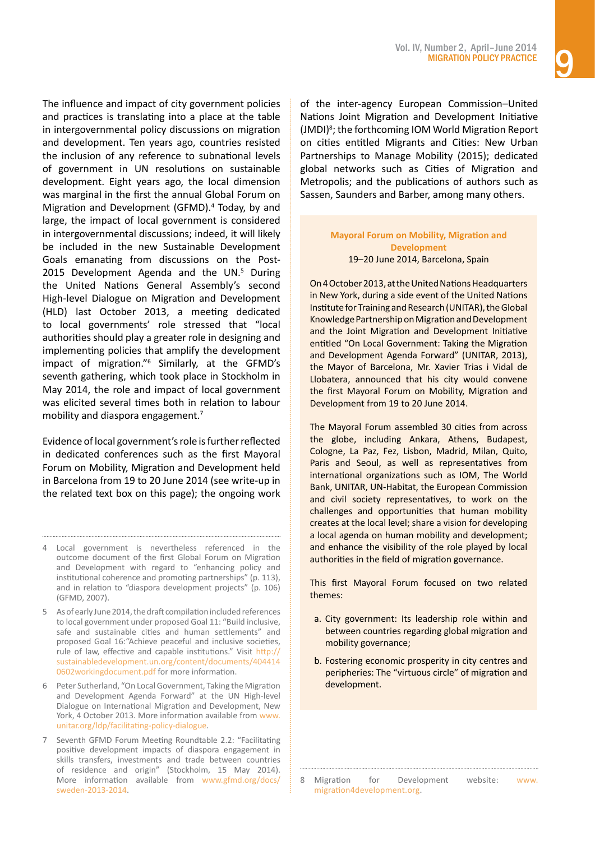The influence and impact of city government policies and practices is translating into a place at the table in intergovernmental policy discussions on migration and development. Ten years ago, countries resisted the inclusion of any reference to subnational levels of government in UN resolutions on sustainable development. Eight years ago, the local dimension was marginal in the first the annual Global Forum on Migration and Development (GFMD).4 Today, by and large, the impact of local government is considered in intergovernmental discussions; indeed, it will likely be included in the new Sustainable Development Goals emanating from discussions on the Post-2015 Development Agenda and the UN.<sup>5</sup> During the United Nations General Assembly's second High-level Dialogue on Migration and Development (HLD) last October 2013, a meeting dedicated to local governments' role stressed that "local authorities should play a greater role in designing and implementing policies that amplify the development impact of migration."6 Similarly, at the GFMD's seventh gathering, which took place in Stockholm in May 2014, the role and impact of local government was elicited several times both in relation to labour mobility and diaspora engagement.<sup>7</sup>

Evidence of local government's role is further reflected in dedicated conferences such as the first Mayoral Forum on Mobility, Migration and Development held in Barcelona from 19 to 20 June 2014 (see write-up in the related text box on this page); the ongoing work of the inter-agency European Commission–United Nations Joint Migration and Development Initiative (JMDI)<sup>8</sup>; the forthcoming IOM World Migration Report on cities entitled Migrants and Cities: New Urban Partnerships to Manage Mobility (2015); dedicated global networks such as Cities of Migration and Metropolis; and the publications of authors such as Sassen, Saunders and Barber, among many others.

#### **Mayoral Forum on Mobility, Migration and Development** 19–20 June 2014, Barcelona, Spain

On4October2013,attheUnitedNationsHeadquarters in New York, during a side event of the United Nations Institute for Training and Research (UNITAR), the Global Knowledge Partnership on Migration and Development and the Joint Migration and Development Initiative entitled "On Local Government: Taking the Migration and Development Agenda Forward" (UNITAR, 2013), the Mayor of Barcelona, Mr. Xavier Trias i Vidal de Llobatera, announced that his city would convene the first Mayoral Forum on Mobility, Migration and Development from 19 to 20 June 2014.

The Mayoral Forum assembled 30 cities from across the globe, including Ankara, Athens, Budapest, Cologne, La Paz, Fez, Lisbon, Madrid, Milan, Quito, Paris and Seoul, as well as representatives from international organizations such as IOM, The World Bank, UNITAR, UN-Habitat, the European Commission and civil society representatives, to work on the challenges and opportunities that human mobility creates at the local level; share a vision for developing a local agenda on human mobility and development; and enhance the visibility of the role played by local authorities in the field of migration governance.

This first Mayoral Forum focused on two related themes:

- a. City government: Its leadership role within and between countries regarding global migration and mobility governance;
- b. Fostering economic prosperity in city centres and peripheries: The "virtuous circle" of migration and development.

<sup>4</sup> Local government is nevertheless referenced in the outcome document of the first Global Forum on Migration and Development with regard to "enhancing policy and institutional coherence and promoting partnerships" (p. 113), and in relation to "diaspora development projects" (p. 106) (GFMD, 2007).

<sup>5</sup> As of early June 2014, the draft compilation included references to local government under proposed Goal 11: "Build inclusive, safe and sustainable cities and human settlements" and proposed Goal 16:"Achieve peaceful and inclusive societies, rule of law, effective and capable institutions." Visit [http://](http://sustainabledevelopment.un.org/content/documents/4044140602workingdocument.pdf) [sustainabledevelopment.un.org/content/documents/404414](http://sustainabledevelopment.un.org/content/documents/4044140602workingdocument.pdf) [0602workingdocument.pdf](http://sustainabledevelopment.un.org/content/documents/4044140602workingdocument.pdf) for more information.

<sup>6</sup> Peter Sutherland, "On Local Government, Taking the Migration and Development Agenda Forward" at the UN High-level Dialogue on International Migration and Development, New York, 4 October 2013. More information available from [www.](http://www.unitar.org/ldp/facilitating-policy-dialogue) [unitar.org/ldp/facilitating-policy-dialogue.](http://www.unitar.org/ldp/facilitating-policy-dialogue)

Seventh GFMD Forum Meeting Roundtable 2.2: "Facilitating positive development impacts of diaspora engagement in skills transfers, investments and trade between countries of residence and origin" (Stockholm, 15 May 2014). More information available from [www.gfmd.org/docs/](http://www.gfmd.org/docs/sweden-2013-2014) [sweden-2013-2014.](http://www.gfmd.org/docs/sweden-2013-2014)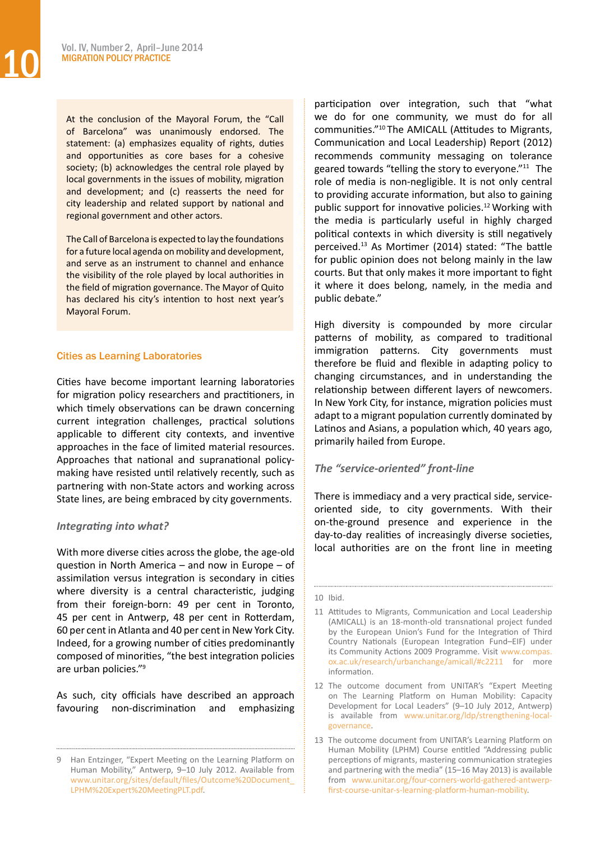At the conclusion of the Mayoral Forum, the "Call of Barcelona" was unanimously endorsed. The statement: (a) emphasizes equality of rights, duties and opportunities as core bases for a cohesive society; (b) acknowledges the central role played by local governments in the issues of mobility, migration and development; and (c) reasserts the need for city leadership and related support by national and regional government and other actors.

The Call of Barcelona is expected to lay the foundations for a future local agenda on mobility and development, and serve as an instrument to channel and enhance the visibility of the role played by local authorities in the field of migration governance. The Mayor of Quito has declared his city's intention to host next year's Mayoral Forum.

# Cities as Learning Laboratories

Cities have become important learning laboratories for migration policy researchers and practitioners, in which timely observations can be drawn concerning current integration challenges, practical solutions applicable to different city contexts, and inventive approaches in the face of limited material resources. Approaches that national and supranational policymaking have resisted until relatively recently, such as partnering with non-State actors and working across State lines, are being embraced by city governments.

# *Integrating into what?*

With more diverse cities across the globe, the age-old question in North America – and now in Europe – of assimilation versus integration is secondary in cities where diversity is a central characteristic, judging from their foreign-born: 49 per cent in Toronto, 45 per cent in Antwerp, 48 per cent in Rotterdam, 60 per cent in Atlanta and 40 per cent in New York City. Indeed, for a growing number of cities predominantly composed of minorities, "the best integration policies are urban policies."9

As such, city officials have described an approach favouring non-discrimination and emphasizing

participation over integration, such that "what we do for one community, we must do for all communities."10 The AMICALL (Attitudes to Migrants, Communication and Local Leadership) Report (2012) recommends community messaging on tolerance geared towards "telling the story to everyone."11 The role of media is non-negligible. It is not only central to providing accurate information, but also to gaining public support for innovative policies.<sup>12</sup> Working with the media is particularly useful in highly charged political contexts in which diversity is still negatively perceived.13 As Mortimer (2014) stated: "The battle for public opinion does not belong mainly in the law courts. But that only makes it more important to fight it where it does belong, namely, in the media and public debate."

High diversity is compounded by more circular patterns of mobility, as compared to traditional immigration patterns. City governments must therefore be fluid and flexible in adapting policy to changing circumstances, and in understanding the relationship between different layers of newcomers. In New York City, for instance, migration policies must adapt to a migrant population currently dominated by Latinos and Asians, a population which, 40 years ago, primarily hailed from Europe.

# *The "service-oriented" front-line*

There is immediacy and a very practical side, serviceoriented side, to city governments. With their on-the-ground presence and experience in the day-to-day realities of increasingly diverse societies, local authorities are on the front line in meeting

Han Entzinger, "Expert Meeting on the Learning Platform on Human Mobility," Antwerp, 9–10 July 2012. Available from [www.unitar.org/sites/default/files/Outcome%20Document\\_](http://www.unitar.org/sites/default/files/Outcome Document_LPHM Expert MeetingPLT.pdf) [LPHM%20Expert%20MeetingPLT.pdf.](http://www.unitar.org/sites/default/files/Outcome Document_LPHM Expert MeetingPLT.pdf)

<sup>10</sup> Ibid.

<sup>11</sup> Attitudes to Migrants, Communication and Local Leadership (AMICALL) is an 18-month-old transnational project funded by the European Union's Fund for the Integration of Third Country Nationals (European Integration Fund–EIF) under its Community Actions 2009 Programme. Visit [www.compas.](http://www.compas.ox.ac.uk/research/urbanchange/amicall/#c2211) [ox.ac.uk/research/urbanchange/amicall/#c2211](http://www.compas.ox.ac.uk/research/urbanchange/amicall/#c2211) for more information.

<sup>12</sup> The outcome document from UNITAR's "Expert Meeting on The Learning Platform on Human Mobility: Capacity Development for Local Leaders" (9–10 July 2012, Antwerp) is available from [www.unitar.org/ldp/strengthening-local](http://www.unitar.org/ldp/strengthening-local-governance)[governance](http://www.unitar.org/ldp/strengthening-local-governance).

<sup>13</sup> The outcome document from UNITAR's Learning Platform on Human Mobility (LPHM) Course entitled "Addressing public perceptions of migrants, mastering communication strategies and partnering with the media" (15–16 May 2013) is available from [www.unitar.org/four-corners-world-gathered-antwerp](http://www.unitar.org/four-corners-world-gathered-antwerp-first-course-unitar-s-learning-platform-human-mobility)[first-course-unitar-s-learning-platform-human-mobility](http://www.unitar.org/four-corners-world-gathered-antwerp-first-course-unitar-s-learning-platform-human-mobility).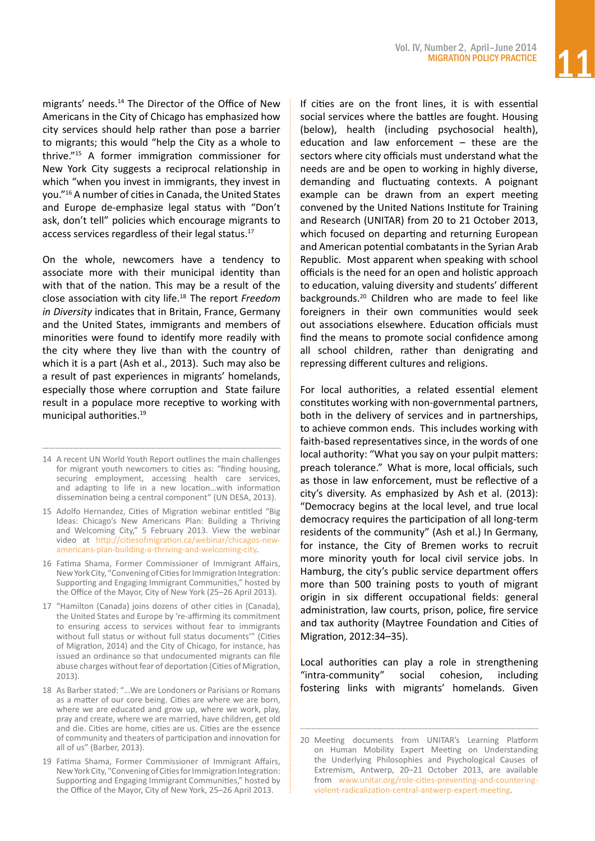migrants' needs.14 The Director of the Office of New Americans in the City of Chicago has emphasized how city services should help rather than pose a barrier to migrants; this would "help the City as a whole to thrive."15 A former immigration commissioner for New York City suggests a reciprocal relationship in which "when you invest in immigrants, they invest in you."16 A number of citiesin Canada, the United States and Europe de-emphasize legal status with "Don't ask, don't tell" policies which encourage migrants to access services regardless of their legal status.<sup>17</sup>

On the whole, newcomers have a tendency to associate more with their municipal identity than with that of the nation. This may be a result of the close association with city life.18 The report *Freedom in Diversity* indicates that in Britain, France, Germany and the United States, immigrants and members of minorities were found to identify more readily with the city where they live than with the country of which it is a part (Ash et al., 2013). Such may also be a result of past experiences in migrants' homelands, especially those where corruption and State failure result in a populace more receptive to working with municipal authorities.<sup>19</sup>

If cities are on the front lines, it is with essential social services where the battles are fought. Housing (below), health (including psychosocial health), education and law enforcement – these are the sectors where city officials must understand what the needs are and be open to working in highly diverse, demanding and fluctuating contexts. A poignant example can be drawn from an expert meeting convened by the United Nations Institute for Training and Research (UNITAR) from 20 to 21 October 2013, which focused on departing and returning European and American potential combatants in the Syrian Arab Republic. Most apparent when speaking with school officials is the need for an open and holistic approach to education, valuing diversity and students' different backgrounds.20 Children who are made to feel like foreigners in their own communities would seek out associations elsewhere. Education officials must find the means to promote social confidence among all school children, rather than denigrating and repressing different cultures and religions.

For local authorities, a related essential element constitutes working with non-governmental partners, both in the delivery of services and in partnerships, to achieve common ends. This includes working with faith-based representatives since, in the words of one local authority: "What you say on your pulpit matters: preach tolerance." What is more, local officials, such as those in law enforcement, must be reflective of a city's diversity. As emphasized by Ash et al. (2013): "Democracy begins at the local level, and true local democracy requires the participation of all long-term residents of the community" (Ash et al.) In Germany, for instance, the City of Bremen works to recruit more minority youth for local civil service jobs. In Hamburg, the city's public service department offers more than 500 training posts to youth of migrant origin in six different occupational fields: general administration, law courts, prison, police, fire service and tax authority (Maytree Foundation and Cities of Migration, 2012:34–35).

Local authorities can play a role in strengthening "intra-community" social cohesion, including fostering links with migrants' homelands. Given

<sup>14</sup> A recent UN World Youth Report outlines the main challenges for migrant youth newcomers to cities as: "finding housing, securing employment, accessing health care services, and adapting to life in a new location…with information dissemination being a central component" (UN DESA, 2013).

<sup>15</sup> Adolfo Hernandez, Cities of Migration webinar entitled "Big Ideas: Chicago's New Americans Plan: Building a Thriving and Welcoming City," 5 February 2013. View the webinar video at [http://citiesofmigration.ca/webinar/chicagos-new](http://citiesofmigration.ca/webinar/chicagos-new-americans-plan-building-a-thriving-and-welcoming-city)[americans-plan-building-a-thriving-and-welcoming-city.](http://citiesofmigration.ca/webinar/chicagos-new-americans-plan-building-a-thriving-and-welcoming-city)

<sup>16</sup> Fatima Shama, Former Commissioner of Immigrant Affairs, New York City, "Convening of Cities for Immigration Integration: Supporting and Engaging Immigrant Communities," hosted by the Office of the Mayor, City of New York (25–26 April 2013).

<sup>17 &</sup>quot;Hamilton (Canada) joins dozens of other cities in (Canada), the United States and Europe by 're-affirming its commitment to ensuring access to services without fear to immigrants without full status or without full status documents'" (Cities of Migration, 2014) and the City of Chicago, for instance, has issued an ordinance so that undocumented migrants can file abuse charges without fear of deportation (Cities of Migration, 2013).

<sup>18</sup> As Barber stated: "... We are Londoners or Parisians or Romans as a matter of our core being. Cities are where we are born, where we are educated and grow up, where we work, play, pray and create, where we are married, have children, get old and die. Cities are home, cities are us. Cities are the essence of community and theaters of participation and innovation for all of us" (Barber, 2013).

<sup>19</sup> Fatima Shama, Former Commissioner of Immigrant Affairs, New York City, "Convening of Cities for Immigration Integration: Supporting and Engaging Immigrant Communities," hosted by the Office of the Mayor, City of New York, 25–26 April 2013.

<sup>20</sup> Meeting documents from UNITAR's Learning Platform on Human Mobility Expert Meeting on Understanding the Underlying Philosophies and Psychological Causes of Extremism, Antwerp, 20–21 October 2013, are available from [www.unitar.org/role-cities-preventing-and-countering](http://www.unitar.org/role-cities-preventing-and-countering-violent-radicalization-central-antwerp-expert-meeting)[violent-radicalization-central-antwerp-expert-meeting.](http://www.unitar.org/role-cities-preventing-and-countering-violent-radicalization-central-antwerp-expert-meeting)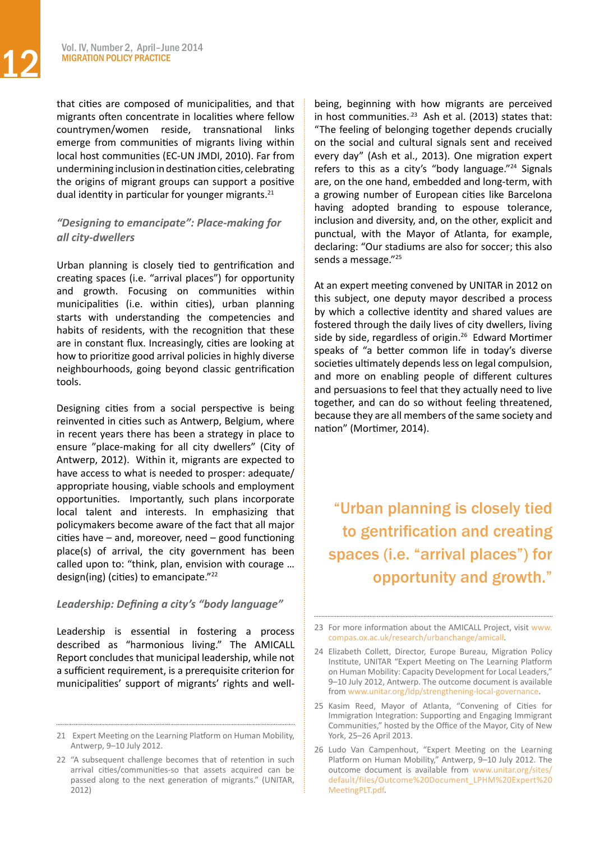that cities are composed of municipalities, and that migrants often concentrate in localities where fellow countrymen/women reside, transnational links emerge from communities of migrants living within local host communities (EC-UN JMDI, 2010). Far from undermining inclusion indestinationcities, celebrating the origins of migrant groups can support a positive dual identity in particular for younger migrants.21

# *"Designing to emancipate": Place-making for all city-dwellers*

Urban planning is closely tied to gentrification and creating spaces (i.e. "arrival places") for opportunity and growth. Focusing on communities within municipalities (i.e. within cities), urban planning starts with understanding the competencies and habits of residents, with the recognition that these are in constant flux. Increasingly, cities are looking at how to prioritize good arrival policies in highly diverse neighbourhoods, going beyond classic gentrification tools.

Designing cities from a social perspective is being reinvented in cities such as Antwerp, Belgium, where in recent years there has been a strategy in place to ensure "place-making for all city dwellers" (City of Antwerp, 2012). Within it, migrants are expected to have access to what is needed to prosper: adequate/ appropriate housing, viable schools and employment opportunities. Importantly, such plans incorporate local talent and interests. In emphasizing that policymakers become aware of the fact that all major cities have – and, moreover, need – good functioning place(s) of arrival, the city government has been called upon to: "think, plan, envision with courage … design(ing) (cities) to emancipate."22

# *Leadership: Defining a city's "body language"*

Leadership is essential in fostering a process described as "harmonious living." The AMICALL Report concludes that municipal leadership, while not a sufficient requirement, is a prerequisite criterion for municipalities' support of migrants' rights and wellbeing, beginning with how migrants are perceived in host communities. $23$  Ash et al. (2013) states that: "The feeling of belonging together depends crucially on the social and cultural signals sent and received every day" (Ash et al., 2013). One migration expert refers to this as a city's "body language."24 Signals are, on the one hand, embedded and long-term, with a growing number of European cities like Barcelona having adopted branding to espouse tolerance, inclusion and diversity, and, on the other, explicit and punctual, with the Mayor of Atlanta, for example, declaring: "Our stadiums are also for soccer; this also sends a message."<sup>25</sup>

At an expert meeting convened by UNITAR in 2012 on this subject, one deputy mayor described a process by which a collective identity and shared values are fostered through the daily lives of city dwellers, living side by side, regardless of origin.<sup>26</sup> Edward Mortimer speaks of "a better common life in today's diverse societies ultimately depends less on legal compulsion, and more on enabling people of different cultures and persuasions to feel that they actually need to live together, and can do so without feeling threatened, because they are all members of the same society and nation" (Mortimer, 2014).

"Urban planning is closely tied to gentrification and creating spaces (i.e. "arrival places") for opportunity and growth."

<sup>21</sup> Expert Meeting on the Learning Platform on Human Mobility, Antwerp, 9–10 July 2012.

<sup>22 &</sup>quot;A subsequent challenge becomes that of retention in such arrival cities/communities-so that assets acquired can be passed along to the next generation of migrants." (UNITAR, 2012)

<sup>23</sup> For more information about the AMICALL Project, visit [www.](http://www.compas.ox.ac.uk/research/urbanchange/amicall) [compas.ox.ac.uk/research/urbanchange/amicall](http://www.compas.ox.ac.uk/research/urbanchange/amicall).

<sup>24</sup> Elizabeth Collett, Director, Europe Bureau, Migration Policy Institute, UNITAR "Expert Meeting on The Learning Platform on Human Mobility: Capacity Development for Local Leaders," 9–10 July 2012, Antwerp. The outcome document is available from [www.unitar.org/ldp/strengthening-local-governance.](http://www.unitar.org/ldp/strengthening-local-governance)

<sup>25</sup> Kasim Reed, Mayor of Atlanta, "Convening of Cities for Immigration Integration: Supporting and Engaging Immigrant Communities," hosted by the Office of the Mayor, City of New York, 25–26 April 2013.

<sup>26</sup> Ludo Van Campenhout, "Expert Meeting on the Learning Platform on Human Mobility," Antwerp, 9–10 July 2012. The outcome document is available from [www.unitar.org/sites/](http://www.unitar.org/sites/default/files/Outcome Document_LPHM Expert MeetingPLT.pdf) [default/files/Outcome%20Document\\_LPHM%20Expert%20](http://www.unitar.org/sites/default/files/Outcome Document_LPHM Expert MeetingPLT.pdf) [MeetingPLT.pdf](http://www.unitar.org/sites/default/files/Outcome Document_LPHM Expert MeetingPLT.pdf).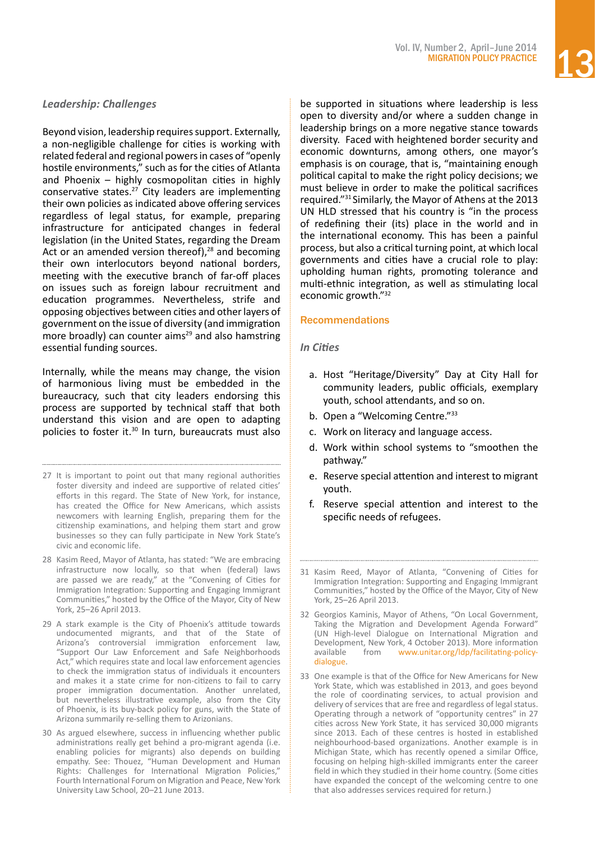# *Leadership: Challenges*

Beyond vision, leadership requires support. Externally, a non-negligible challenge for cities is working with related federal and regional powersin cases of "openly hostile environments," such as for the cities of Atlanta and Phoenix – highly cosmopolitan cities in highly conservative states.27 City leaders are implementing their own policies as indicated above offering services regardless of legal status, for example, preparing infrastructure for anticipated changes in federal legislation (in the United States, regarding the Dream Act or an amended version thereof), $28$  and becoming their own interlocutors beyond national borders, meeting with the executive branch of far-off places on issues such as foreign labour recruitment and education programmes. Nevertheless, strife and opposing objectives between cities and otherlayers of government on the issue of diversity (and immigration more broadly) can counter aims $29$  and also hamstring essential funding sources.

Internally, while the means may change, the vision of harmonious living must be embedded in the bureaucracy, such that city leaders endorsing this process are supported by technical staff that both understand this vision and are open to adapting policies to foster it.30 In turn, bureaucrats must also

- 27 It is important to point out that many regional authorities foster diversity and indeed are supportive of related cities' efforts in this regard. The State of New York, for instance, has created the Office for New Americans, which assists newcomers with learning English, preparing them for the citizenship examinations, and helping them start and grow businesses so they can fully participate in New York State's civic and economic life.
- 28 Kasim Reed, Mayor of Atlanta, has stated: "We are embracing infrastructure now locally, so that when (federal) laws are passed we are ready," at the "Convening of Cities for Immigration Integration: Supporting and Engaging Immigrant Communities," hosted by the Office of the Mayor, City of New York, 25–26 April 2013.
- 29 A stark example is the City of Phoenix's attitude towards undocumented migrants, and that of the State of Arizona's controversial immigration enforcement law, "Support Our Law Enforcement and Safe Neighborhoods Act," which requires state and local law enforcement agencies to check the immigration status of individuals it encounters and makes it a state crime for non-citizens to fail to carry proper immigration documentation. Another unrelated, but nevertheless illustrative example, also from the City of Phoenix, is its buy-back policy for guns, with the State of Arizona summarily re-selling them to Arizonians.
- 30 As argued elsewhere, success in influencing whether public administrations really get behind a pro-migrant agenda (i.e. enabling policies for migrants) also depends on building empathy. See: Thouez, "Human Development and Human Rights: Challenges for International Migration Policies," Fourth International Forum on Migration and Peace, New York University Law School, 20–21 June 2013.

be supported in situations where leadership is less open to diversity and/or where a sudden change in leadership brings on a more negative stance towards diversity. Faced with heightened border security and economic downturns, among others, one mayor's emphasis is on courage, that is, "maintaining enough political capital to make the right policy decisions; we must believe in order to make the political sacrifices required."31 Similarly, the Mayor of Athens at the 2013 UN HLD stressed that his country is "in the process of redefining their (its) place in the world and in the international economy. This has been a painful process, but also a critical turning point, at which local governments and cities have a crucial role to play: upholding human rights, promoting tolerance and multi‐ethnic integration, as well as stimulating local economic growth."32

# Recommendations

# *In Cities*

- a. Host "Heritage/Diversity" Day at City Hall for community leaders, public officials, exemplary youth, school attendants, and so on.
- b. Open a "Welcoming Centre."<sup>33</sup>
- c. Work on literacy and language access.
- d. Work within school systems to "smoothen the pathway."
- e. Reserve special attention and interest to migrant youth.
- f. Reserve special attention and interest to the specific needs of refugees.
- 31 Kasim Reed, Mayor of Atlanta, "Convening of Cities for Immigration Integration: Supporting and Engaging Immigrant Communities," hosted by the Office of the Mayor, City of New York, 25–26 April 2013.
- 32 Georgios Kaminis, Mayor of Athens, "On Local Government, Taking the Migration and Development Agenda Forward" (UN High-level Dialogue on International Migration and Development, New York, 4 October 2013). More information available from [www.unitar.org/ldp/facilitating-policy](http://www.unitar.org/ldp/facilitating-policy-dialogue)[dialogue.](http://www.unitar.org/ldp/facilitating-policy-dialogue)
- 33 One example is that of the Office for New Americans for New York State, which was established in 2013, and goes beyond the role of coordinating services, to actual provision and delivery of services that are free and regardless of legal status. Operating through a network of "opportunity centres" in 27 cities across New York State, it has serviced 30,000 migrants since 2013. Each of these centres is hosted in established neighbourhood-based organizations. Another example is in Michigan State, which has recently opened a similar Office, focusing on helping high-skilled immigrants enter the career field in which they studied in their home country. (Some cities have expanded the concept of the welcoming centre to one that also addresses services required for return.)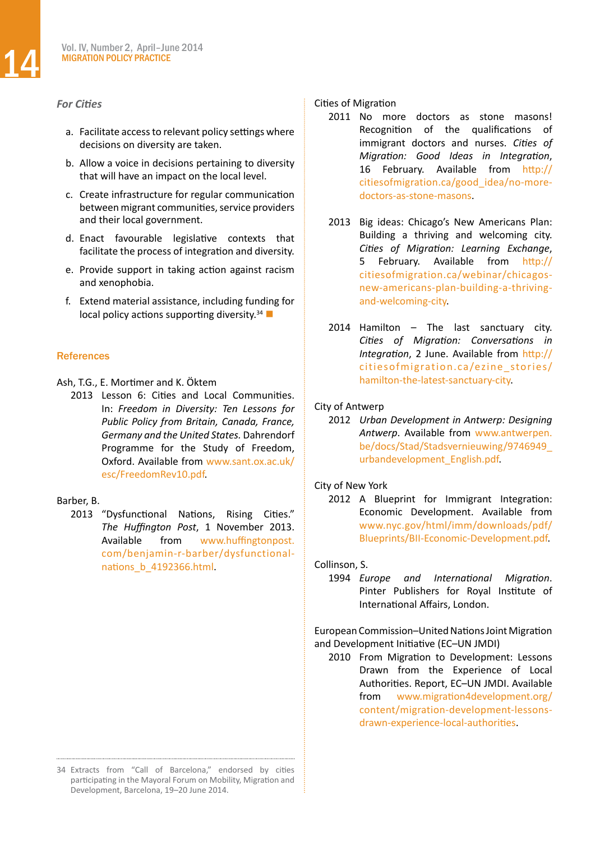# *For Cities*

- a. Facilitate access to relevant policy settings where decisions on diversity are taken.
- b. Allow a voice in decisions pertaining to diversity that will have an impact on the local level.
- c. Create infrastructure for regular communication between migrant communities, service providers and their local government.
- d. Enact favourable legislative contexts that facilitate the process of integration and diversity.
- e. Provide support in taking action against racism and xenophobia.
- f. Extend material assistance, including funding for local policy actions supporting diversity.<sup>34</sup>

# **References**

- Ash, T.G., E. Mortimer and K. Öktem
	- 2013 Lesson 6: Cities and Local Communities. In: *Freedom in Diversity: Ten Lessons for Public Policy from Britain, Canada, France, Germany and the United States.* Dahrendorf Programme for the Study of Freedom, Oxford. Available from [www.sant.ox.ac.uk/](http://www.sant.ox.ac.uk/esc/FreedomRev10.pdf) [esc/FreedomRev10.pdf.](http://www.sant.ox.ac.uk/esc/FreedomRev10.pdf)

#### Barber, B.

2013 "Dysfunctional Nations, Rising Cities." *The Huffington Post*, 1 November 2013. Available from [www.huffingtonpost.](http://www.huffingtonpost.com/benjamin-r-barber/dysfunctional-nations_b_4192366.html) [com/benjamin-r-barber/dysfunctional](http://www.huffingtonpost.com/benjamin-r-barber/dysfunctional-nations_b_4192366.html)[nations\\_b\\_4192366.html.](http://www.huffingtonpost.com/benjamin-r-barber/dysfunctional-nations_b_4192366.html)

#### 34 Extracts from "Call of Barcelona," endorsed by cities participating in the Mayoral Forum on Mobility, Migration and Development, Barcelona, 19–20 June 2014.

### Cities of Migration

- 2011 No more doctors as stone masons! Recognition of the qualifications of immigrant doctors and nurses. *Cities of Migration: Good Ideas in Integration*, 16 February. Available from [http://](http://citiesofmigration.ca/good_idea/no-more-doctors-as-stone-masons) [citiesofmigration.ca/good\\_idea/no-more](http://citiesofmigration.ca/good_idea/no-more-doctors-as-stone-masons)[doctors-as-stone-masons.](http://citiesofmigration.ca/good_idea/no-more-doctors-as-stone-masons)
- 2013 Big ideas: Chicago's New Americans Plan: Building a thriving and welcoming city. *Cities of Migration: Learning Exchange*, 5 February. Available from [http://](http://citiesofmigration.ca/webinar/chicagos-new-americans-plan-building-a-thriving-and-welcoming-city) [citiesofmigration.ca/webinar/chicagos](http://citiesofmigration.ca/webinar/chicagos-new-americans-plan-building-a-thriving-and-welcoming-city)[new-americans-plan-building-a-thriving](http://citiesofmigration.ca/webinar/chicagos-new-americans-plan-building-a-thriving-and-welcoming-city)[and-welcoming-city.](http://citiesofmigration.ca/webinar/chicagos-new-americans-plan-building-a-thriving-and-welcoming-city)
- $2014$  Hamilton The last sanctuary city. *Cities of Migration: Conversations in Integration*, 2 June. Available from [http://](http://citiesofmigration.ca/ezine_stories/hamilton-the-latest-sanctuary-city) [citiesofmigration.ca/ezine\\_stories/](http://citiesofmigration.ca/ezine_stories/hamilton-the-latest-sanctuary-city) [hamilton-the-latest-sanctuary-city.](http://citiesofmigration.ca/ezine_stories/hamilton-the-latest-sanctuary-city)

# City of Antwerp

2012 *Urban Development in Antwerp: Designing Antwerp*. Available from [www.antwerpen.](http://www.antwerpen.be/docs/Stad/Stadsvernieuwing/9746949_urbandevelopment_English.pdf) [be/docs/Stad/Stadsvernieuwing/9746949\\_](http://www.antwerpen.be/docs/Stad/Stadsvernieuwing/9746949_urbandevelopment_English.pdf) [urbandevelopment\\_English.pdf](http://www.antwerpen.be/docs/Stad/Stadsvernieuwing/9746949_urbandevelopment_English.pdf).

# City of New York

2012 A Blueprint for Immigrant Integration: Economic Development. Available from [www.nyc.gov/html/imm/downloads/pdf/](http://www.nyc.gov/html/imm/downloads/pdf/Blueprints/BII-Economic-Development.pdf) [Blueprints/BII-Economic-Development.pdf](http://www.nyc.gov/html/imm/downloads/pdf/Blueprints/BII-Economic-Development.pdf).

# Collinson, S.

1994 *Europe and International Migration*. Pinter Publishers for Royal Institute of International Affairs, London.

European Commission–United Nations Joint Migration and Development Initiative (EC–UN JMDI)

2010 From Migration to Development: Lessons Drawn from the Experience of Local Authorities. Report, EC–UN JMDI. Available from [www.migration4development.org/](http://www.migration4development.org/content/migration-development-lessons-drawn-experience-local-authorities) [content/migration-development-lessons](http://www.migration4development.org/content/migration-development-lessons-drawn-experience-local-authorities)[drawn-experience-local-authorities](http://www.migration4development.org/content/migration-development-lessons-drawn-experience-local-authorities).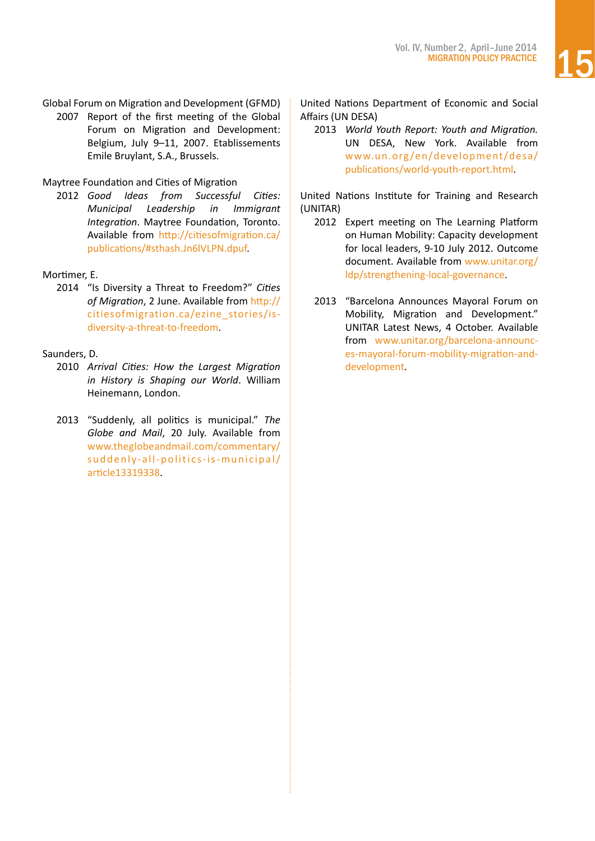Global Forum on Migration and Development (GFMD) 2007 Report of the first meeting of the Global Forum on Migration and Development: Belgium, July 9–11, 2007. Etablissements Emile Bruylant, S.A., Brussels.

# Maytree Foundation and Cities of Migration

2012 *Good Ideas from Successful Cities: Municipal Leadership in Immigrant Integration*. Maytree Foundation, Toronto. Available from [http://citiesofmigration.ca/](http://citiesofmigration.ca/publications/#sthash.Jn6lVLPN.dpuf) [publications/#sthash.Jn6lVLPN.dpuf](http://citiesofmigration.ca/publications/#sthash.Jn6lVLPN.dpuf).

# Mortimer, E.

2014 "Is Diversity a Threat to Freedom?" *Cities of Migration*, 2 June. Available from [http://](http://citiesofmigration.ca/ezine_stories/is-diversity-a-threat-to-freedom) [citiesofmigration.ca/ezine\\_stories/is](http://citiesofmigration.ca/ezine_stories/is-diversity-a-threat-to-freedom)[diversity-a-threat-to-freedom.](http://citiesofmigration.ca/ezine_stories/is-diversity-a-threat-to-freedom)

# Saunders, D.

- 2010 *Arrival Cities: How the Largest Migration in History is Shaping our World*. William Heinemann, London.
- 2013 "Suddenly, all politics is municipal." *The Globe and Mail*, 20 July. Available from [www.theglobeandmail.com/commentary/](http://www.theglobeandmail.com/commentary/suddenly-all-politics-is-municipal/article13319338) [suddenly-all-politics-is-municipal/](http://www.theglobeandmail.com/commentary/suddenly-all-politics-is-municipal/article13319338) [article13319338](http://www.theglobeandmail.com/commentary/suddenly-all-politics-is-municipal/article13319338).

United Nations Department of Economic and Social Affairs (UN DESA)

2013 *World Youth Report: Youth and Migration.*  UN DESA, New York. Available from [www.un.org /en/development/desa/](http://www.un.org/en/development/desa/publications/world-youth-report.html) [publications/world-youth-report.html.](http://www.un.org/en/development/desa/publications/world-youth-report.html)

United Nations Institute for Training and Research (UNITAR)

- 2012 Expert meeting on The Learning Platform on Human Mobility: Capacity development for local leaders, 9-10 July 2012. Outcome document. Available from [www.unitar.org/](http://www.unitar.org/ldp/strengthening-local-governance) [ldp/strengthening-local-governance](http://www.unitar.org/ldp/strengthening-local-governance).
- 2013 "Barcelona Announces Mayoral Forum on Mobility, Migration and Development." UNITAR Latest News, 4 October. Available from [www.unitar.org/barcelona-announc](http://www.unitar.org/barcelona-announces-mayoral-forum-mobility-migration-and-development)[es-mayoral-forum-mobility-migration-and](http://www.unitar.org/barcelona-announces-mayoral-forum-mobility-migration-and-development)[development.](http://www.unitar.org/barcelona-announces-mayoral-forum-mobility-migration-and-development)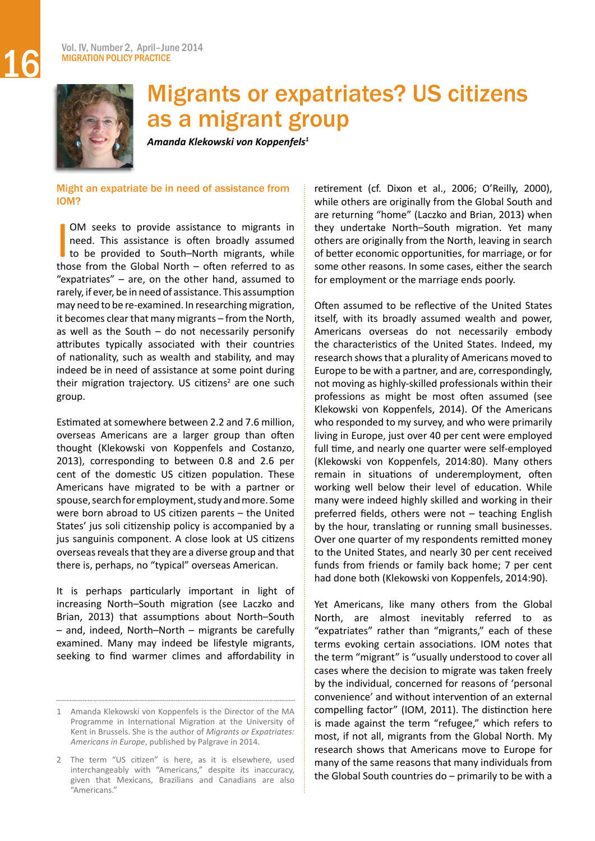<span id="page-15-0"></span>

# Migrants or expatriates? US citizens as a migrant group

*Amanda Klekowski von Koppenfels<sup>1</sup>*

Might an expatriate be in need of assistance from IOM?

 $\overline{\phantom{a}}$ OM seeks to provide assistance to migrants in need. This assistance is often broadly assumed to be provided to South–North migrants, while those from the Global North – often referred to as "expatriates" – are, on the other hand, assumed to rarely, if ever, be in need of assistance. This assumption may need to be re-examined. In researching migration, it becomes clear that many migrants – from the North, as well as the South  $-$  do not necessarily personify attributes typically associated with their countries of nationality, such as wealth and stability, and may indeed be in need of assistance at some point during their migration trajectory. US citizens<sup>2</sup> are one such group.

Estimated at somewhere between 2.2 and 7.6 million, overseas Americans are a larger group than often thought (Klekowski von Koppenfels and Costanzo, 2013), corresponding to between 0.8 and 2.6 per cent of the domestic US citizen population. These Americans have migrated to be with a partner or spouse, search for employment, study and more. Some were born abroad to US citizen parents – the United States' jus soli citizenship policy is accompanied by a jus sanguinis component. A close look at US citizens overseas reveals that they are a diverse group and that there is, perhaps, no "typical" overseas American.

It is perhaps particularly important in light of increasing North–South migration (see Laczko and Brian, 2013) that assumptions about North–South – and, indeed, North–North – migrants be carefully examined. Many may indeed be lifestyle migrants, seeking to find warmer climes and affordability in

retirement (cf. Dixon et al., 2006; O'Reilly, 2000), while others are originally from the Global South and are returning "home" (Laczko and Brian, 2013) when they undertake North–South migration. Yet many others are originally from the North, leaving in search of better economic opportunities, for marriage, or for some other reasons. In some cases, either the search for employment or the marriage ends poorly.

Often assumed to be reflective of the United States itself, with its broadly assumed wealth and power, Americans overseas do not necessarily embody the characteristics of the United States. Indeed, my research showsthat a plurality of Americans moved to Europe to be with a partner, and are, correspondingly, not moving as highly-skilled professionals within their professions as might be most often assumed (see Klekowski von Koppenfels, 2014). Of the Americans who responded to my survey, and who were primarily living in Europe, just over 40 per cent were employed full time, and nearly one quarter were self-employed (Klekowski von Koppenfels, 2014:80). Many others remain in situations of underemployment, often working well below their level of education. While many were indeed highly skilled and working in their preferred fields, others were not – teaching English by the hour, translating or running small businesses. Over one quarter of my respondents remitted money to the United States, and nearly 30 per cent received funds from friends or family back home; 7 per cent had done both (Klekowski von Koppenfels, 2014:90).

Yet Americans, like many others from the Global North, are almost inevitably referred to as "expatriates" rather than "migrants," each of these terms evoking certain associations. IOM notes that the term "migrant" is "usually understood to cover all cases where the decision to migrate was taken freely by the individual, concerned for reasons of 'personal convenience' and without intervention of an external compelling factor" (IOM, 2011). The distinction here is made against the term "refugee," which refers to most, if not all, migrants from the Global North. My research shows that Americans move to Europe for many of the same reasons that many individuals from the Global South countries do – primarily to be with a

Amanda Klekowski von Koppenfels is the Director of the MA Programme in International Migration at the University of Kent in Brussels. She is the author of *Migrants or Expatriates: Americans in Europe*, published by Palgrave in 2014.

<sup>2</sup> The term "US citizen" is here, as it is elsewhere, used interchangeably with "Americans," despite its inaccuracy, given that Mexicans, Brazilians and Canadians are also "Americans."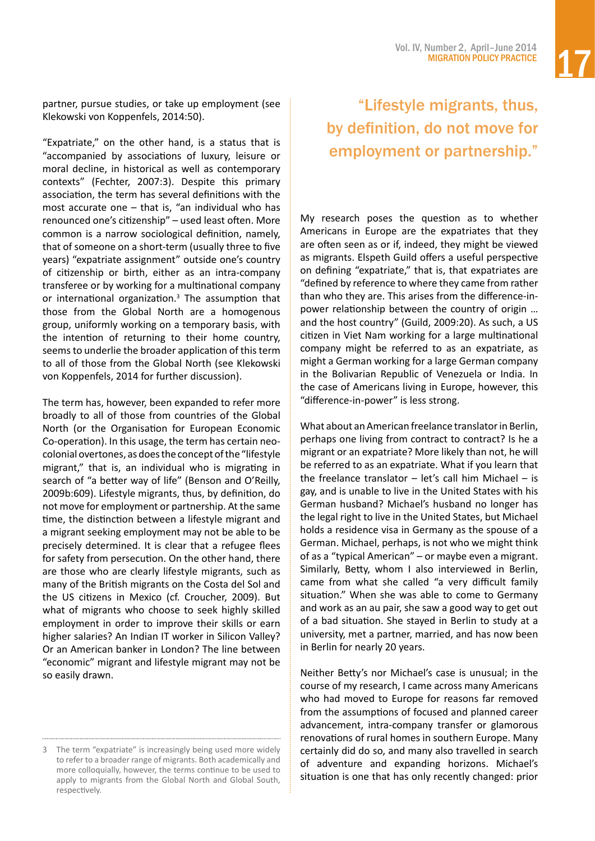partner, pursue studies, or take up employment (see Klekowski von Koppenfels, 2014:50).

"Expatriate," on the other hand, is a status that is "accompanied by associations of luxury, leisure or moral decline, in historical as well as contemporary contexts" (Fechter, 2007:3). Despite this primary association, the term has several definitions with the most accurate one  $-$  that is, "an individual who has renounced one's citizenship" – used least often. More common is a narrow sociological definition, namely, that of someone on a short-term (usually three to five years) "expatriate assignment" outside one's country of citizenship or birth, either as an intra-company transferee or by working for a multinational company or international organization.3 The assumption that those from the Global North are a homogenous group, uniformly working on a temporary basis, with the intention of returning to their home country, seems to underlie the broader application of this term to all of those from the Global North (see Klekowski von Koppenfels, 2014 for further discussion).

The term has, however, been expanded to refer more broadly to all of those from countries of the Global North (or the Organisation for European Economic Co-operation). In this usage, the term has certain neocolonialovertones, asdoesthe conceptofthe "lifestyle migrant," that is, an individual who is migrating in search of "a better way of life" (Benson and O'Reilly, 2009b:609). Lifestyle migrants, thus, by definition, do not move for employment or partnership. At the same time, the distinction between a lifestyle migrant and a migrant seeking employment may not be able to be precisely determined. It is clear that a refugee flees for safety from persecution. On the other hand, there are those who are clearly lifestyle migrants, such as many of the British migrants on the Costa del Sol and the US citizens in Mexico (cf. Croucher, 2009). But what of migrants who choose to seek highly skilled employment in order to improve their skills or earn higher salaries? An Indian IT worker in Silicon Valley? Or an American banker in London? The line between "economic" migrant and lifestyle migrant may not be so easily drawn.

# "Lifestyle migrants, thus, by definition, do not move for employment or partnership."

My research poses the question as to whether Americans in Europe are the expatriates that they are often seen as or if, indeed, they might be viewed as migrants. Elspeth Guild offers a useful perspective on defining "expatriate," that is, that expatriates are "defined by reference to where they came from rather than who they are. This arises from the difference-inpower relationship between the country of origin … and the host country" (Guild, 2009:20). As such, a US citizen in Viet Nam working for a large multinational company might be referred to as an expatriate, as might a German working for a large German company in the Bolivarian Republic of Venezuela or India. In the case of Americans living in Europe, however, this "difference-in-power" is less strong.

What about an American freelance translatorin Berlin, perhaps one living from contract to contract? Is he a migrant or an expatriate? More likely than not, he will be referred to as an expatriate. What if you learn that the freelance translator  $-$  let's call him Michael  $-$  is gay, and is unable to live in the United States with his German husband? Michael's husband no longer has the legal right to live in the United States, but Michael holds a residence visa in Germany as the spouse of a German. Michael, perhaps, is not who we might think of as a "typical American" – or maybe even a migrant. Similarly, Betty, whom I also interviewed in Berlin, came from what she called "a very difficult family situation." When she was able to come to Germany and work as an au pair, she saw a good way to get out of a bad situation. She stayed in Berlin to study at a university, met a partner, married, and has now been in Berlin for nearly 20 years.

Neither Betty's nor Michael's case is unusual; in the course of my research, I came across many Americans who had moved to Europe for reasons far removed from the assumptions of focused and planned career advancement, intra-company transfer or glamorous renovations of rural homes in southern Europe. Many certainly did do so, and many also travelled in search of adventure and expanding horizons. Michael's situation is one that has only recently changed: prior

<sup>3</sup> The term "expatriate" is increasingly being used more widely to refer to a broader range of migrants. Both academically and more colloquially, however, the terms continue to be used to apply to migrants from the Global North and Global South, respectively.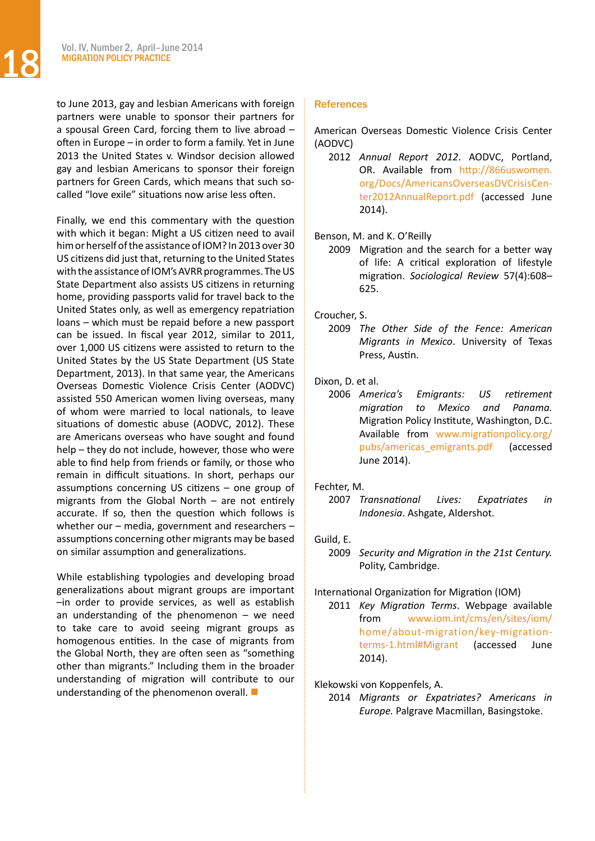to June 2013, gay and lesbian Americans with foreign partners were unable to sponsor their partners for a spousal Green Card, forcing them to live abroad – often in Europe – in order to form a family. Yet in June 2013 the United States v. Windsor decision allowed gay and lesbian Americans to sponsor their foreign partners for Green Cards, which means that such socalled "love exile" situations now arise less often.

Finally, we end this commentary with the question with which it began: Might a US citizen need to avail him or herself of the assistance of IOM? In 2013 over 30 US citizens did just that, returning to the United States with the assistance of IOM's AVRR programmes. The US State Department also assists US citizens in returning home, providing passports valid for travel back to the United States only, as well as emergency repatriation loans – which must be repaid before a new passport can be issued. In fiscal year 2012, similar to 2011, over 1,000 US citizens were assisted to return to the United States by the US State Department (US State Department, 2013). In that same year, the Americans Overseas Domestic Violence Crisis Center (AODVC) assisted 550 American women living overseas, many of whom were married to local nationals, to leave situations of domestic abuse (AODVC, 2012). These are Americans overseas who have sought and found help – they do not include, however, those who were able to find help from friends or family, or those who remain in difficult situations. In short, perhaps our assumptions concerning US citizens – one group of migrants from the Global North – are not entirely accurate. If so, then the question which follows is whether our – media, government and researchers – assumptions concerning other migrants may be based on similar assumption and generalizations.

While establishing typologies and developing broad generalizations about migrant groups are important –in order to provide services, as well as establish an understanding of the phenomenon  $-$  we need to take care to avoid seeing migrant groups as homogenous entities. In the case of migrants from the Global North, they are often seen as "something other than migrants." Including them in the broader understanding of migration will contribute to our understanding of the phenomenon overall.  $\blacksquare$ 

#### **References**

American Overseas Domestic Violence Crisis Center (AODVC)

- 2012 *Annual Report 2012*. AODVC, Portland, OR. Available from [http://866uswomen.](http://866uswomen.org/Docs/AmericansOverseasDVCrisisCenter2012AnnualReport.pdf) [org/Docs/AmericansOverseasDVCrisisCen](http://866uswomen.org/Docs/AmericansOverseasDVCrisisCenter2012AnnualReport.pdf)[ter2012AnnualReport.pdf](http://866uswomen.org/Docs/AmericansOverseasDVCrisisCenter2012AnnualReport.pdf) (accessed June 2014).
- Benson, M. and K. O'Reilly
	- 2009 Migration and the search for a better way of life: A critical exploration of lifestyle migration. *Sociological Review* 57(4):608– 625.

Croucher, S.

2009 *The Other Side of the Fence: American Migrants in Mexico*. University of Texas Press, Austin.

Dixon, D. et al.

2006 *America's Emigrants: US retirement migration to Mexico and Panama.*  Migration Policy Institute, Washington, D.C. Available from [www.migrationpolicy.org/](http://www.migrationpolicy.org/pubs/americas_emigrants.pdf) [pubs/americas\\_emigrants.pdf](http://www.migrationpolicy.org/pubs/americas_emigrants.pdf) (accessed June 2014).

#### Fechter, M.

2007 *Transnational Lives: Expatriates in Indonesia*. Ashgate, Aldershot.

#### Guild, E.

2009 *Security and Migration in the 21st Century.*  Polity, Cambridge.

#### International Organization for Migration (IOM)

2011 *Key Migration Terms*. Webpage available from [www.iom.int/cms/en/sites/iom/](http://www.iom.int/cms/en/sites/iom/home/about-migration/key-migration-terms-1.html#Migrant) [home/about-migration/key-migration](http://www.iom.int/cms/en/sites/iom/home/about-migration/key-migration-terms-1.html#Migrant)[terms-1.html#Migrant](http://www.iom.int/cms/en/sites/iom/home/about-migration/key-migration-terms-1.html#Migrant) (accessed June 2014).

#### Klekowski von Koppenfels, A.

2014 *Migrants or Expatriates? Americans in Europe.* Palgrave Macmillan, Basingstoke.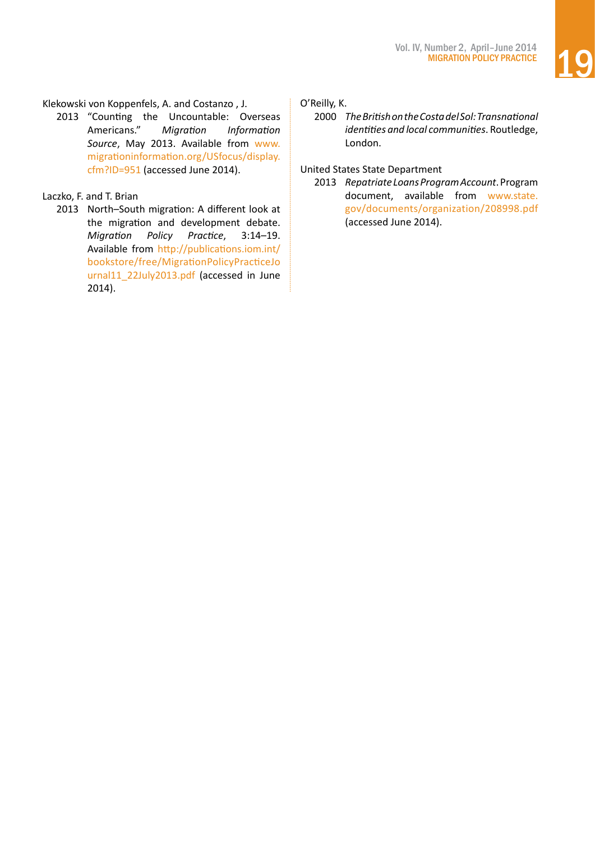# Klekowski von Koppenfels, A. and Costanzo , J.

2013 "Counting the Uncountable: Overseas Americans." *Migration Information Source*, May 2013. Available from [www.](http://www.migrationinformation.org/USfocus/display.cfm?ID=951) [migrationinformation.org/USfocus/display.](http://www.migrationinformation.org/USfocus/display.cfm?ID=951) [cfm?ID=951](http://www.migrationinformation.org/USfocus/display.cfm?ID=951) (accessed June 2014).

# Laczko, F. and T. Brian

2013 North–South migration: A different look at the migration and development debate. *Migration Policy Practice*, 3:14–19. Available from [http://publications.iom.int/](http://publications.iom.int/bookstore/free/MigrationPolicyPracticeJournal11_22July2013.pdf) [bookstore/free/MigrationPolicyPracticeJo](http://publications.iom.int/bookstore/free/MigrationPolicyPracticeJournal11_22July2013.pdf) [urnal11\\_22July2013.pdf](http://publications.iom.int/bookstore/free/MigrationPolicyPracticeJournal11_22July2013.pdf) (accessed in June 2014).

# O'Reilly, K.

2000 *The British on the Costa del Sol: Transnational identities and local communities*. Routledge, London.

# United States State Department

2013 *Repatriate Loans Program Account*.Program document, available from [www.state.](http://www.state.gov/documents/organization/208998.pdf) [gov/documents/organization/208998.pdf](http://www.state.gov/documents/organization/208998.pdf) (accessed June 2014).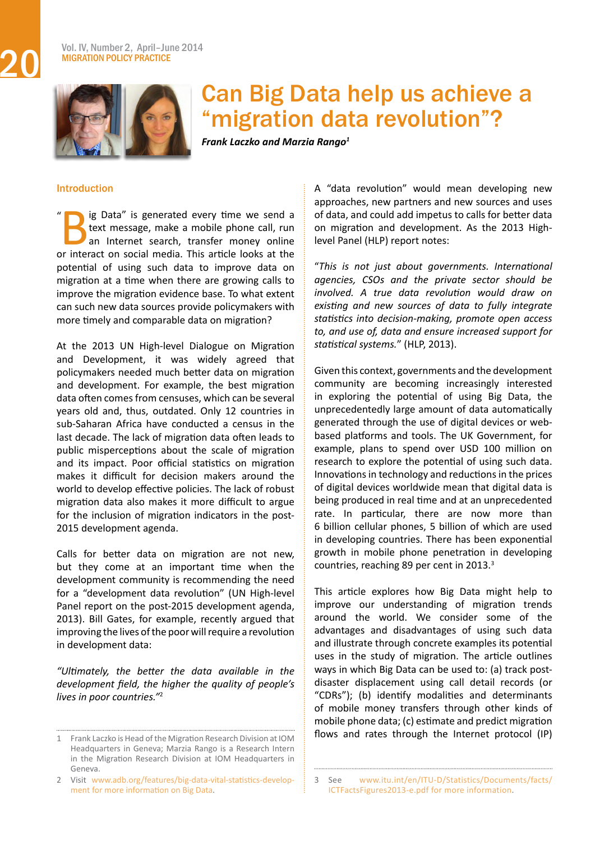<span id="page-19-0"></span>

# Can Big Data help us achieve a "migration data revolution"?

*Frank Laczko and Marzia Rango<sup>1</sup>*

### Introduction

ig Data" is generated every time we send a text message, make a mobile phone call, run an Internet search, transfer money online or interact on social media. This article looks at the potential of using such data to improve data on migration at a time when there are growing calls to improve the migration evidence base. To what extent can such new data sources provide policymakers with more timely and comparable data on migration?  $\mathbf{u}$ 

At the 2013 UN High-level Dialogue on Migration and Development, it was widely agreed that policymakers needed much better data on migration and development. For example, the best migration data often comes from censuses, which can be several years old and, thus, outdated. Only 12 countries in sub-Saharan Africa have conducted a census in the last decade. The lack of migration data often leads to public misperceptions about the scale of migration and its impact. Poor official statistics on migration makes it difficult for decision makers around the world to develop effective policies. The lack of robust migration data also makes it more difficult to argue for the inclusion of migration indicators in the post-2015 development agenda.

Calls for better data on migration are not new, but they come at an important time when the development community is recommending the need for a "development data revolution" (UN High-level Panel report on the post-2015 development agenda, 2013). Bill Gates, for example, recently argued that improving the lives of the poor will require a revolution in development data:

*"Ultimately, the better the data available in the development field, the higher the quality of people's lives in poor countries."*<sup>2</sup>

A "data revolution" would mean developing new approaches, new partners and new sources and uses of data, and could add impetus to calls for better data on migration and development. As the 2013 Highlevel Panel (HLP) report notes:

"*This is not just about governments. International agencies, CSOs and the private sector should be involved. A true data revolution would draw on existing and new sources of data to fully integrate statistics into decision-making, promote open access to, and use of, data and ensure increased support for statistical systems.*" (HLP, 2013).

Given this context, governments and the development community are becoming increasingly interested in exploring the potential of using Big Data, the unprecedentedly large amount of data automatically generated through the use of digital devices or webbased platforms and tools. The UK Government, for example, plans to spend over USD 100 million on research to explore the potential of using such data. Innovations in technology and reductions in the prices of digital devices worldwide mean that digital data is being produced in real time and at an unprecedented rate. In particular, there are now more than 6 billion cellular phones, 5 billion of which are used in developing countries. There has been exponential growth in mobile phone penetration in developing countries, reaching 89 per cent in 2013.<sup>3</sup>

This article explores how Big Data might help to improve our understanding of migration trends around the world. We consider some of the advantages and disadvantages of using such data and illustrate through concrete examples its potential uses in the study of migration. The article outlines ways in which Big Data can be used to: (a) track postdisaster displacement using call detail records (or "CDRs"); (b) identify modalities and determinants of mobile money transfers through other kinds of mobile phone data; (c) estimate and predict migration flows and rates through the Internet protocol (IP)

<sup>1</sup> Frank Laczko is Head of the Migration Research Division at IOM Headquarters in Geneva; Marzia Rango is a Research Intern in the Migration Research Division at IOM Headquarters in Geneva.

<sup>2</sup> Visit [www.adb.org/features/big-data-vital-statistics-develop](http://www.adb.org/features/big-data-vital-statistics-development for more information on Big Data)ment for more [information](http://www.adb.org/features/big-data-vital-statistics-development for more information on Big Data) on Big Data.

<sup>3</sup> See [www.itu.int/en/ITU-D/Statistics/Documents/facts/](http://www.itu.int/en/ITU-D/Statistics/Documents/facts/ICTFactsFigures2013-e.pdf for more information) [ICTFactsFigures2013-e.pdf](http://www.itu.int/en/ITU-D/Statistics/Documents/facts/ICTFactsFigures2013-e.pdf for more information) for more information.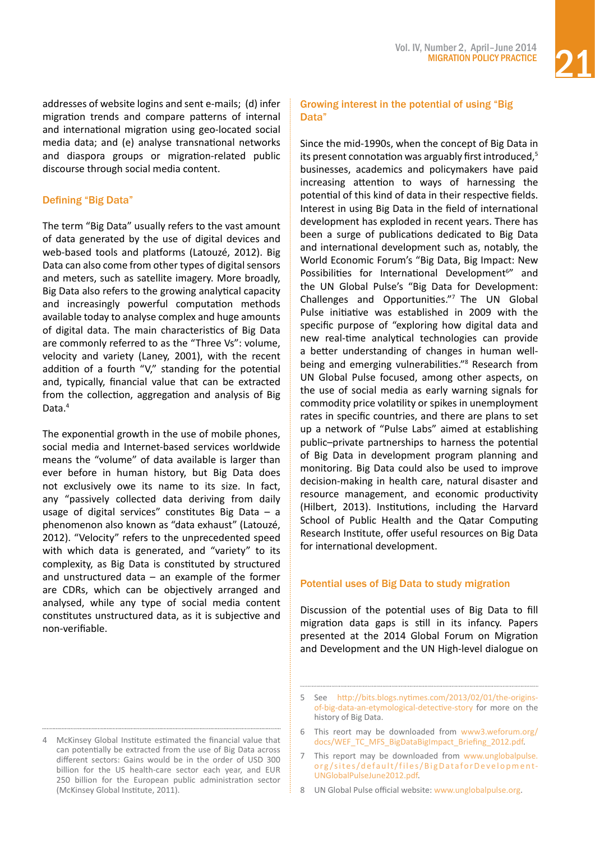addresses of website logins and sent e-mails; (d) infer migration trends and compare patterns of internal and international migration using geo-located social media data; and (e) analyse transnational networks and diaspora groups or migration-related public discourse through social media content.

# Defining "Big Data"

The term "Big Data" usually refers to the vast amount of data generated by the use of digital devices and web-based tools and platforms (Latouzé, 2012). Big Data can also come from other types of digital sensors and meters, such as satellite imagery. More broadly, Big Data also refers to the growing analytical capacity and increasingly powerful computation methods available today to analyse complex and huge amounts of digital data. The main characteristics of Big Data are commonly referred to as the "Three Vs": volume, velocity and variety (Laney, 2001), with the recent addition of a fourth "V," standing for the potential and, typically, financial value that can be extracted from the collection, aggregation and analysis of Big Data.<sup>4</sup>

The exponential growth in the use of mobile phones, social media and Internet-based services worldwide means the "volume" of data available is larger than ever before in human history, but Big Data does not exclusively owe its name to its size. In fact, any "passively collected data deriving from daily usage of digital services" constitutes Big Data – a phenomenon also known as "data exhaust" (Latouzé, 2012). "Velocity" refers to the unprecedented speed with which data is generated, and "variety" to its complexity, as Big Data is constituted by structured and unstructured data  $-$  an example of the former are CDRs, which can be objectively arranged and analysed, while any type of social media content constitutes unstructured data, as it is subjective and non-verifiable.

# Growing interest in the potential of using "Big Data"

Since the mid-1990s, when the concept of Big Data in its present connotation was arguably first introduced,5 businesses, academics and policymakers have paid increasing attention to ways of harnessing the potential of this kind of data in their respective fields. Interest in using Big Data in the field of international development has exploded in recent years. There has been a surge of publications dedicated to Big Data and international development such as, notably, the World Economic Forum's "Big Data, Big Impact: New Possibilities for International Development<sup>6"</sup> and the UN Global Pulse's "Big Data for Development: Challenges and Opportunities."7 The UN Global Pulse initiative was established in 2009 with the specific purpose of "exploring how digital data and new real-time analytical technologies can provide a better understanding of changes in human wellbeing and emerging vulnerabilities."8 Research from UN Global Pulse focused, among other aspects, on the use of social media as early warning signals for commodity price volatility or spikes in unemployment rates in specific countries, and there are plans to set up a network of "Pulse Labs" aimed at establishing public–private partnerships to harness the potential of Big Data in development program planning and monitoring. Big Data could also be used to improve decision-making in health care, natural disaster and resource management, and economic productivity (Hilbert, 2013). Institutions, including the Harvard School of Public Health and the Qatar Computing Research Institute, offer useful resources on Big Data for international development.

# Potential uses of Big Data to study migration

Discussion of the potential uses of Big Data to fill migration data gaps is still in its infancy. Papers presented at the 2014 Global Forum on Migration and Development and the UN High-level dialogue on

8 UN Global Pulse official website: [www.unglobalpulse.org.](http://www.unglobalpulse.org)

McKinsey Global Institute estimated the financial value that can potentially be extracted from the use of Big Data across different sectors: Gains would be in the order of USD 300 billion for the US health-care sector each year, and EUR 250 billion for the European public administration sector (McKinsey Global Institute, 2011).

<sup>5</sup> See [http://bits.blogs.nytimes.com/2013/02/01/the-origins](http://bits.blogs.nytimes.com/2013/02/01/the-origins-of-big-data-an-etymological-detective-story)[of-big-data-an-etymological-detective-story](http://bits.blogs.nytimes.com/2013/02/01/the-origins-of-big-data-an-etymological-detective-story) for more on the history of Big Data.

<sup>6</sup> This reort may be downloaded from [www3.weforum.org/](http://www3.weforum.org/docs/WEF_TC_MFS_BigDataBigImpact_Briefing_2012.pdf) [docs/WEF\\_TC\\_MFS\\_BigDataBigImpact\\_Briefing\\_2012.pdf.](http://www3.weforum.org/docs/WEF_TC_MFS_BigDataBigImpact_Briefing_2012.pdf)

This report may be downloaded from [www.unglobalpulse.](http://www.unglobalpulse.org/sites/default/files/BigDataforDevelopment-UNGlobalPulseJune2012.pdf) [org/sites/default/files/BigDataforDevelopment-](http://www.unglobalpulse.org/sites/default/files/BigDataforDevelopment-UNGlobalPulseJune2012.pdf)[UNGlobalPulseJune2012.pdf](http://www.unglobalpulse.org/sites/default/files/BigDataforDevelopment-UNGlobalPulseJune2012.pdf).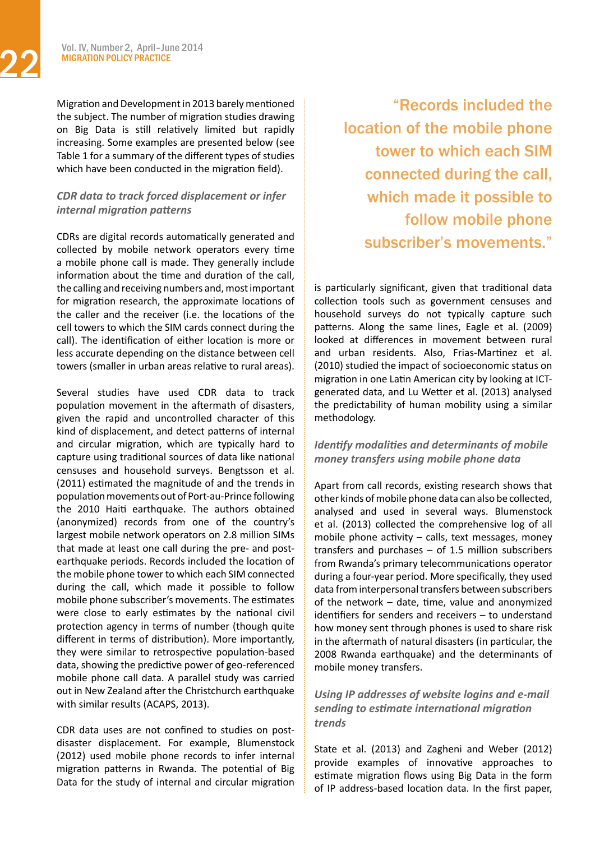Vol. IV, Number 2, April–June 2014<br>MIGRATION POLICY PRACTICE MIGRATION POLICY PRACTICE

> Migration and Development in 2013 barely mentioned the subject. The number of migration studies drawing on Big Data is still relatively limited but rapidly increasing. Some examples are presented below (see Table 1 for a summary of the different types of studies which have been conducted in the migration field).

# *CDR data to track forced displacement or infer internal migration patterns*

CDRs are digital records automatically generated and collected by mobile network operators every time a mobile phone call is made. They generally include information about the time and duration of the call, the calling and receiving numbers and, most important for migration research, the approximate locations of the caller and the receiver (i.e. the locations of the cell towers to which the SIM cards connect during the call). The identification of either location is more or less accurate depending on the distance between cell towers (smaller in urban areas relative to rural areas).

Several studies have used CDR data to track population movement in the aftermath of disasters, given the rapid and uncontrolled character of this kind of displacement, and detect patterns of internal and circular migration, which are typically hard to capture using traditional sources of data like national censuses and household surveys. Bengtsson et al. (2011) estimated the magnitude of and the trends in population movements out of Port-au-Prince following the 2010 Haiti earthquake. The authors obtained (anonymized) records from one of the country's largest mobile network operators on 2.8 million SIMs that made at least one call during the pre- and postearthquake periods. Records included the location of the mobile phone tower to which each SIM connected during the call, which made it possible to follow mobile phone subscriber's movements. The estimates were close to early estimates by the national civil protection agency in terms of number (though quite different in terms of distribution). More importantly, they were similar to retrospective population-based data, showing the predictive power of geo-referenced mobile phone call data. A parallel study was carried out in New Zealand after the Christchurch earthquake with similar results (ACAPS, 2013).

CDR data uses are not confined to studies on postdisaster displacement. For example, Blumenstock (2012) used mobile phone records to infer internal migration patterns in Rwanda. The potential of Big Data for the study of internal and circular migration

 "Records included the location of the mobile phone tower to which each SIM connected during the call, which made it possible to follow mobile phone subscriber's movements."

is particularly significant, given that traditional data collection tools such as government censuses and household surveys do not typically capture such patterns. Along the same lines, Eagle et al. (2009) looked at differences in movement between rural and urban residents. Also, Frias-Martinez et al. (2010) studied the impact of socioeconomic status on migration in one Latin American city by looking at ICTgenerated data, and Lu Wetter et al. (2013) analysed the predictability of human mobility using a similar methodology.

# *Identify modalities and determinants of mobile money transfers using mobile phone data*

Apart from call records, existing research shows that other kinds ofmobile phone data can also be collected, analysed and used in several ways. Blumenstock et al. (2013) collected the comprehensive log of all mobile phone activity – calls, text messages, money transfers and purchases  $-$  of 1.5 million subscribers from Rwanda's primary telecommunications operator during a four-year period. More specifically, they used data from interpersonal transfers between subscribers of the network – date, time, value and anonymized identifiers for senders and receivers – to understand how money sent through phones is used to share risk in the aftermath of natural disasters (in particular, the 2008 Rwanda earthquake) and the determinants of mobile money transfers.

# *Using IP addresses of website logins and e-mail sending to estimate international migration trends*

State et al. (2013) and Zagheni and Weber (2012) provide examples of innovative approaches to estimate migration flows using Big Data in the form of IP address-based location data. In the first paper,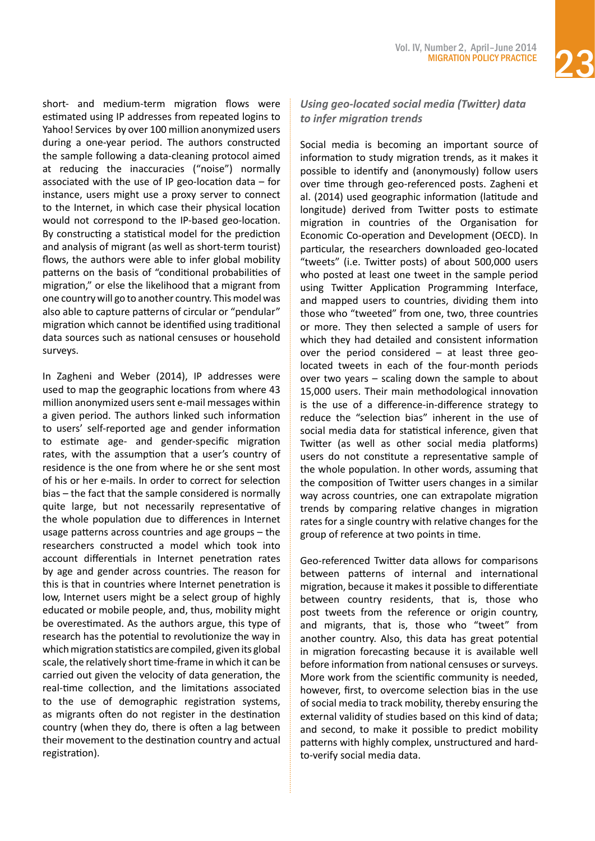short- and medium-term migration flows were estimated using IP addresses from repeated logins to Yahoo! Services by over 100 million anonymized users during a one-year period. The authors constructed the sample following a data-cleaning protocol aimed at reducing the inaccuracies ("noise") normally associated with the use of IP geo-location data – for instance, users might use a proxy server to connect to the Internet, in which case their physical location would not correspond to the IP-based geo-location. By constructing a statistical model for the prediction and analysis of migrant (as well as short-term tourist) flows, the authors were able to infer global mobility patterns on the basis of "conditional probabilities of migration," or else the likelihood that a migrant from one country will go to another country. Thismodel was also able to capture patterns of circular or "pendular" migration which cannot be identified using traditional data sources such as national censuses or household surveys.

In Zagheni and Weber (2014), IP addresses were used to map the geographic locations from where 43 million anonymized users sent e-mail messages within a given period. The authors linked such information to users' self-reported age and gender information to estimate age- and gender-specific migration rates, with the assumption that a user's country of residence is the one from where he or she sent most of his or her e-mails. In order to correct for selection bias – the fact that the sample considered is normally quite large, but not necessarily representative of the whole population due to differences in Internet usage patterns across countries and age groups – the researchers constructed a model which took into account differentials in Internet penetration rates by age and gender across countries. The reason for this is that in countries where Internet penetration is low, Internet users might be a select group of highly educated or mobile people, and, thus, mobility might be overestimated. As the authors argue, this type of research has the potential to revolutionize the way in which migration statistics are compiled, given its global scale, the relatively short time-frame in which it can be carried out given the velocity of data generation, the real-time collection, and the limitations associated to the use of demographic registration systems, as migrants often do not register in the destination country (when they do, there is often a lag between their movement to the destination country and actual registration).

# *Using geo-located social media (Twitter) data to infer migration trends*

Social media is becoming an important source of information to study migration trends, as it makes it possible to identify and (anonymously) follow users over time through geo-referenced posts. Zagheni et al. (2014) used geographic information (latitude and longitude) derived from Twitter posts to estimate migration in countries of the Organisation for Economic Co-operation and Development (OECD). In particular, the researchers downloaded geo-located "tweets" (i.e. Twitter posts) of about 500,000 users who posted at least one tweet in the sample period using Twitter Application Programming Interface, and mapped users to countries, dividing them into those who "tweeted" from one, two, three countries or more. They then selected a sample of users for which they had detailed and consistent information over the period considered  $-$  at least three geolocated tweets in each of the four-month periods over two years – scaling down the sample to about 15,000 users. Their main methodological innovation is the use of a difference-in-difference strategy to reduce the "selection bias" inherent in the use of social media data for statistical inference, given that Twitter (as well as other social media platforms) users do not constitute a representative sample of the whole population. In other words, assuming that the composition of Twitter users changes in a similar way across countries, one can extrapolate migration trends by comparing relative changes in migration rates for a single country with relative changes for the group of reference at two points in time.

Geo-referenced Twitter data allows for comparisons between patterns of internal and international migration, because it makes it possible to differentiate between country residents, that is, those who post tweets from the reference or origin country, and migrants, that is, those who "tweet" from another country. Also, this data has great potential in migration forecasting because it is available well before information from national censuses or surveys. More work from the scientific community is needed, however, first, to overcome selection bias in the use of social media to track mobility, thereby ensuring the external validity of studies based on this kind of data; and second, to make it possible to predict mobility patterns with highly complex, unstructured and hardto-verify social media data.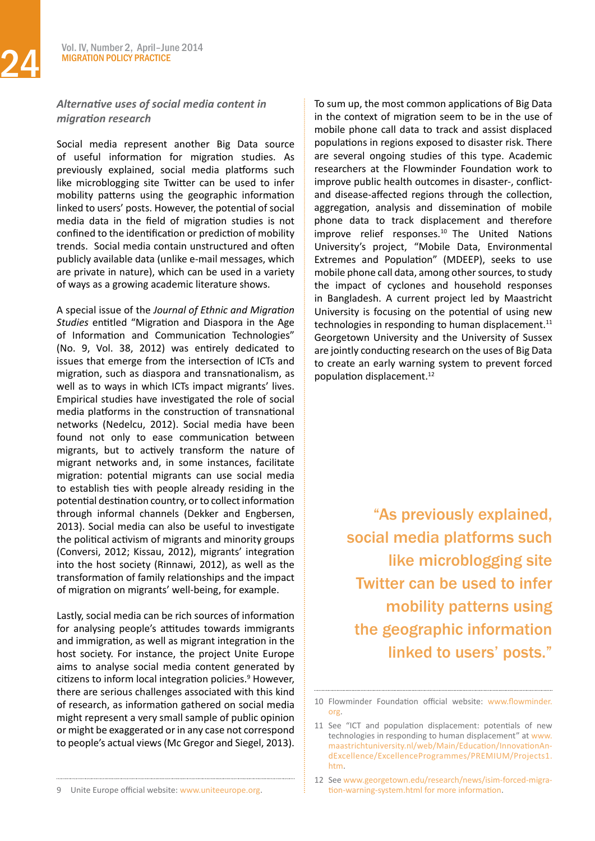# *Alternative uses of social media content in migration research*

Social media represent another Big Data source of useful information for migration studies. As previously explained, social media platforms such like microblogging site Twitter can be used to infer mobility patterns using the geographic information linked to users' posts. However, the potential of social media data in the field of migration studies is not confined to the identification or prediction of mobility trends. Social media contain unstructured and often publicly available data (unlike e-mail messages, which are private in nature), which can be used in a variety of ways as a growing academic literature shows.

A special issue of the *Journal of Ethnic and Migration Studies* entitled "Migration and Diaspora in the Age of Information and Communication Technologies" (No. 9, Vol. 38, 2012) was entirely dedicated to issues that emerge from the intersection of ICTs and migration, such as diaspora and transnationalism, as well as to ways in which ICTs impact migrants' lives. Empirical studies have investigated the role of social media platforms in the construction of transnational networks (Nedelcu, 2012). Social media have been found not only to ease communication between migrants, but to actively transform the nature of migrant networks and, in some instances, facilitate migration: potential migrants can use social media to establish ties with people already residing in the potential destination country, or to collect information through informal channels (Dekker and Engbersen, 2013). Social media can also be useful to investigate the political activism of migrants and minority groups (Conversi, 2012; Kissau, 2012), migrants' integration into the host society (Rinnawi, 2012), as well as the transformation of family relationships and the impact of migration on migrants' well-being, for example.

Lastly, social media can be rich sources of information for analysing people's attitudes towards immigrants and immigration, as well as migrant integration in the host society. For instance, the project Unite Europe aims to analyse social media content generated by citizens to inform local integration policies.<sup>9</sup> However, there are serious challenges associated with this kind of research, as information gathered on social media might represent a very small sample of public opinion or might be exaggerated or in any case not correspond to people's actual views(Mc Gregor and Siegel, 2013).

To sum up, the most common applications of Big Data in the context of migration seem to be in the use of mobile phone call data to track and assist displaced populations in regions exposed to disaster risk. There are several ongoing studies of this type. Academic researchers at the Flowminder Foundation work to improve public health outcomes in disaster-, conflictand disease-affected regions through the collection, aggregation, analysis and dissemination of mobile phone data to track displacement and therefore improve relief responses.10 The United Nations University's project, "Mobile Data, Environmental Extremes and Population" (MDEEP), seeks to use mobile phone call data, among other sources, to study the impact of cyclones and household responses in Bangladesh. A current project led by Maastricht University is focusing on the potential of using new technologies in responding to human displacement. $11$ Georgetown University and the University of Sussex are jointly conducting research on the uses of Big Data to create an early warning system to prevent forced population displacement.12

> "As previously explained, social media platforms such like microblogging site Twitter can be used to infer mobility patterns using the geographic information linked to users' posts."

<sup>10</sup> Flowminder Foundation official website: [www.flowminder.](http://www.flowminder.org) [org.](http://www.flowminder.org)

<sup>11</sup> See "ICT and population displacement: potentials of new technologies in responding to human displacement" at [www.](http://www.maastrichtuniversity.nl/web/Main/Education/InnovationAndExcellence/ExcellenceProgrammes/PREMIUM/Projects1.htm) [maastrichtuniversity.nl/web/Main/Education/InnovationAn](http://www.maastrichtuniversity.nl/web/Main/Education/InnovationAndExcellence/ExcellenceProgrammes/PREMIUM/Projects1.htm)[dExcellence/ExcellenceProgrammes/PREMIUM/Projects1.](http://www.maastrichtuniversity.nl/web/Main/Education/InnovationAndExcellence/ExcellenceProgrammes/PREMIUM/Projects1.htm) [htm](http://www.maastrichtuniversity.nl/web/Main/Education/InnovationAndExcellence/ExcellenceProgrammes/PREMIUM/Projects1.htm).

<sup>12</sup> See [www.georgetown.edu/research/news/isim-forced-migra](http://www.georgetown.edu/research/news/isim-forced-migration-warning-system.html)[tion-warning-system.html](http://www.georgetown.edu/research/news/isim-forced-migration-warning-system.html) for more information.

<sup>9</sup> Unite Europe official website: [www.uniteeurope.org](http://www.uniteeurope.org).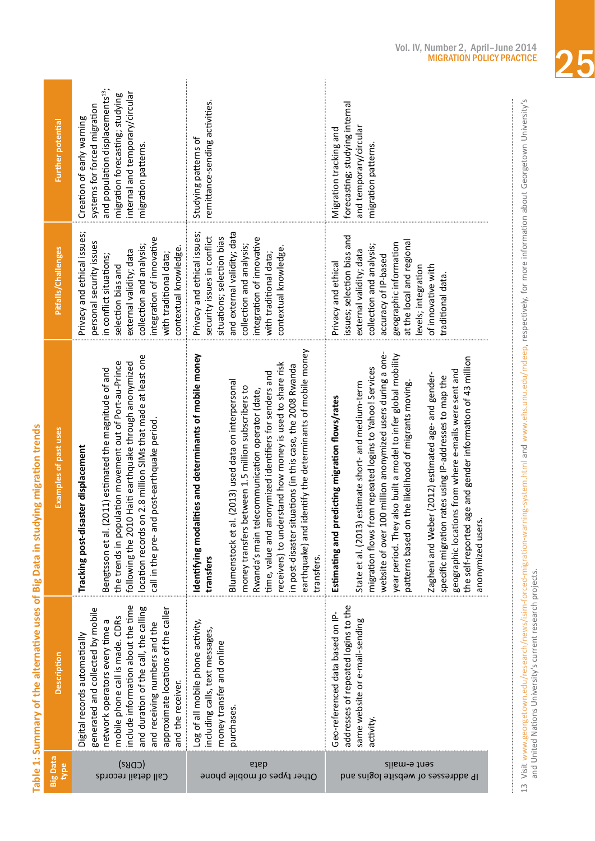| <b>Further potential</b> | and population displacements <sup>13</sup> ;<br>internal and temporary/circular<br>migration forecasting; studying<br>systems for forced migration<br>Creation of early warning<br>migration patterns.                                                                                                                               | remittance-sending activities.<br>Studying patterns of                                                                                                                                                                                                                                                                                                                                                                                                                                                               | forecasting; studying internal<br>Migration tracking and<br>and temporary/circula<br>migration patterns.                                                                                                                                                                                                                                                                                                                                                                                                                                                                                                                       |
|--------------------------|--------------------------------------------------------------------------------------------------------------------------------------------------------------------------------------------------------------------------------------------------------------------------------------------------------------------------------------|----------------------------------------------------------------------------------------------------------------------------------------------------------------------------------------------------------------------------------------------------------------------------------------------------------------------------------------------------------------------------------------------------------------------------------------------------------------------------------------------------------------------|--------------------------------------------------------------------------------------------------------------------------------------------------------------------------------------------------------------------------------------------------------------------------------------------------------------------------------------------------------------------------------------------------------------------------------------------------------------------------------------------------------------------------------------------------------------------------------------------------------------------------------|
| Pitfalls/Challenges      | Privacy and ethical issues;<br>integration of innovative<br>personal security issues<br>collection and analysis;<br>contextual knowledge.<br>external validity; data<br>with traditional data;<br>in conflict situations;<br>selection bias and                                                                                      | and external validity; data<br>Privacy and ethical issues;<br>security issues in conflict<br>situations; selection bias<br>integration of innovative<br>collection and analysis;<br>contextual knowledge.<br>with traditional data;                                                                                                                                                                                                                                                                                  | issues; selection bias and<br>at the local and regional<br>geographic information<br>collection and analysis;<br>external validity; data<br>accuracy of IP-based<br>Privacy and ethical<br>of innovative with<br>levels; integration<br>traditional data.                                                                                                                                                                                                                                                                                                                                                                      |
| Examples of past uses    | location records on 2.8 million SIMs that made at least one<br>the trends in population movement out of Port-au-Prince<br>following the 2010 Haiti earthquake through anonymized<br>(2011) estimated the magnitude of and<br>call in the pre- and post-earthquake period.<br>Tracking post-disaster displacement<br>Bengtsson et al. | identify the determinants of mobile money<br>Identifying modalities and determinants of mobile money<br>receivers) to understand how money is used to share risk<br>in post-disaster situations (in this case, the 2008 Rwanda<br>anonymized identifiers for senders and<br>al. (2013) used data on interpersonal<br>money transfers between 1.5 million subscribers to<br>Rwanda's main telecommunication operator (date,<br>earthquake) and<br><b>Blumenstock</b> et<br>time, value and<br>transfers<br>transfers. | 100 million anonymized users during a one-<br>year period. They also built a model to infer global mobility<br>the self-reported age and gender information of 43 million<br>from repeated logins to Yahoo! Services<br>geographic locations from where e-mails were sent and<br>Zagheni and Weber (2012) estimated age- and gender-<br>specific migration rates using IP-addresses to map the<br>State et al. (2013) estimate short- and medium-term<br>patterns based on the likelihood of migrants moving.<br>predicting migration flows/rates<br>anonymized users.<br>migration flows<br>website of over<br>Estimating and |
| Description              | include information about the time<br>and duration of the call, the calling<br>generated and collected by mobile<br>approximate locations of the caller<br>mobile phone call is made. CDRs<br>network operators every time a<br>and receiving numbers and the<br>Digital records automatically<br>and the receiver.                  | Log of all mobile phone activity,<br>including calls, text messages,<br>money transfer and online<br>purchases.                                                                                                                                                                                                                                                                                                                                                                                                      | addresses of repeated logins to the<br>Geo-referenced data based on IP-<br>same website or e-mail-sending<br>activity                                                                                                                                                                                                                                                                                                                                                                                                                                                                                                          |
| <b>Big Data</b><br>type  | (CDS)<br>Call detail records                                                                                                                                                                                                                                                                                                         | data<br>Other types of mobile phone                                                                                                                                                                                                                                                                                                                                                                                                                                                                                  | slism-9 tnes<br>IP addresses of website logins and                                                                                                                                                                                                                                                                                                                                                                                                                                                                                                                                                                             |

Table 1: Summary of the alternative uses of Big Data in studying migration trends **Table 1: Summary of the alternative uses of Big Data in studying migration trends**



13 Visit [www.georgetown.edu/research/news/isim-forced-migration-warning-system.html](http://www.georgetown.edu/research/news/isim-forced-migration-warning-system.html) and [www.ehs.unu.edu/mdeep](http://www.ehs.unu.edu/mdeep), respectively, for more information about Georgetown University's

13 Visit www.georgetown.edu/research/news/isim-forced-migration-warning-system.html and www.ehs.unu.edu/mdeep, respectively, for more information about Georgetown University's<br>and United Nations University's current resear

and United Nations University's current research projects.

i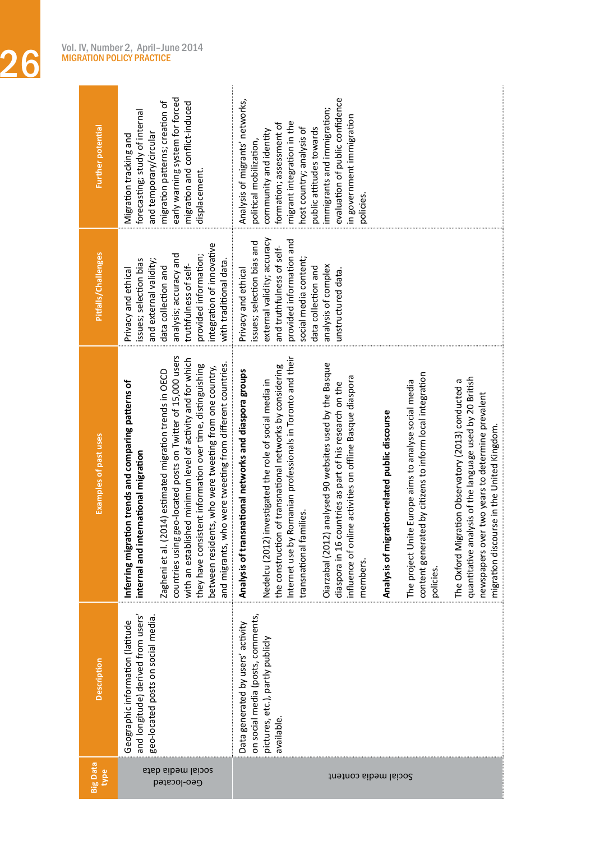Vol. IV, Number 2, April–June 2014<br>MIGRATION POLICY PRACTICE MIGRATION POLICY PRACTICE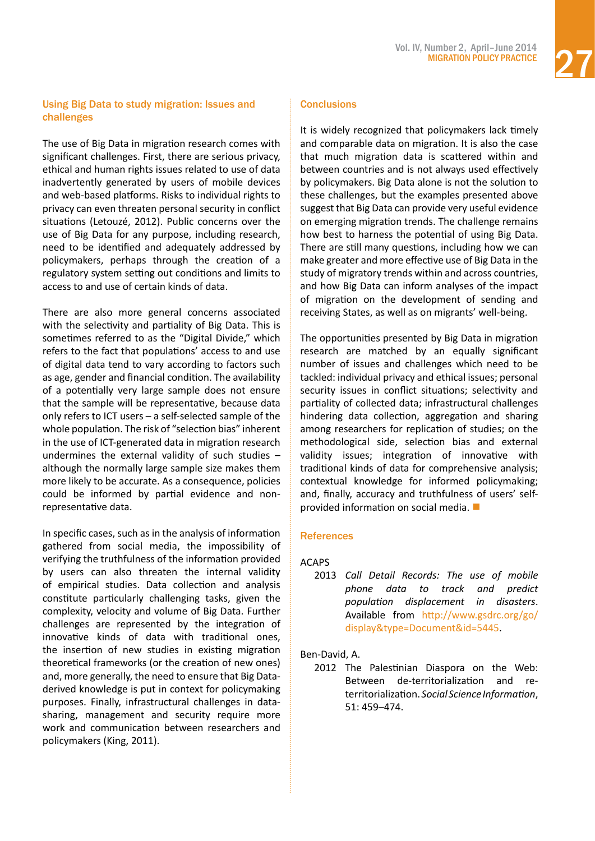# Using Big Data to study migration: Issues and challenges

The use of Big Data in migration research comes with significant challenges. First, there are serious privacy, ethical and human rights issues related to use of data inadvertently generated by users of mobile devices and web-based platforms. Risks to individual rights to privacy can even threaten personal security in conflict situations (Letouzé, 2012). Public concerns over the use of Big Data for any purpose, including research, need to be identified and adequately addressed by policymakers, perhaps through the creation of a regulatory system setting out conditions and limits to access to and use of certain kinds of data.

There are also more general concerns associated with the selectivity and partiality of Big Data. This is sometimes referred to as the "Digital Divide," which refers to the fact that populations' access to and use of digital data tend to vary according to factors such as age, gender and financial condition. The availability of a potentially very large sample does not ensure that the sample will be representative, because data only refers to ICT users – a self-selected sample of the whole population. The risk of "selection bias" inherent in the use of ICT-generated data in migration research undermines the external validity of such studies – although the normally large sample size makes them more likely to be accurate. As a consequence, policies could be informed by partial evidence and nonrepresentative data.

In specific cases, such as in the analysis of information gathered from social media, the impossibility of verifying the truthfulness of the information provided by users can also threaten the internal validity of empirical studies. Data collection and analysis constitute particularly challenging tasks, given the complexity, velocity and volume of Big Data. Further challenges are represented by the integration of innovative kinds of data with traditional ones, the insertion of new studies in existing migration theoretical frameworks (or the creation of new ones) and, more generally, the need to ensure that Big Dataderived knowledge is put in context for policymaking purposes. Finally, infrastructural challenges in datasharing, management and security require more work and communication between researchers and policymakers (King, 2011).

# **Conclusions**

It is widely recognized that policymakers lack timely and comparable data on migration. It is also the case that much migration data is scattered within and between countries and is not always used effectively by policymakers. Big Data alone is not the solution to these challenges, but the examples presented above suggest that Big Data can provide very useful evidence on emerging migration trends. The challenge remains how best to harness the potential of using Big Data. There are still many questions, including how we can make greater and more effective use of Big Data in the study of migratory trends within and across countries, and how Big Data can inform analyses of the impact of migration on the development of sending and receiving States, as well as on migrants' well-being.

The opportunities presented by Big Data in migration research are matched by an equally significant number of issues and challenges which need to be tackled: individual privacy and ethical issues; personal security issues in conflict situations; selectivity and partiality of collected data; infrastructural challenges hindering data collection, aggregation and sharing among researchers for replication of studies; on the methodological side, selection bias and external validity issues; integration of innovative with traditional kinds of data for comprehensive analysis; contextual knowledge for informed policymaking; and, finally, accuracy and truthfulness of users' selfprovided information on social media.  $\blacksquare$ 

# **References**

# ACAPS

2013 *Call Detail Records: The use of mobile phone data to track and predict population displacement in disasters*. Available from [http://www.gsdrc.org/go/](http://www.gsdrc.org/go/display&type=Document&id=5445) [display&type=Document&id=5445.](http://www.gsdrc.org/go/display&type=Document&id=5445)

Ben-David, A.

2012 The Palestinian Diaspora on the Web: Between de-territorialization and reterritorialization. *Social Science Information*, 51: 459–474.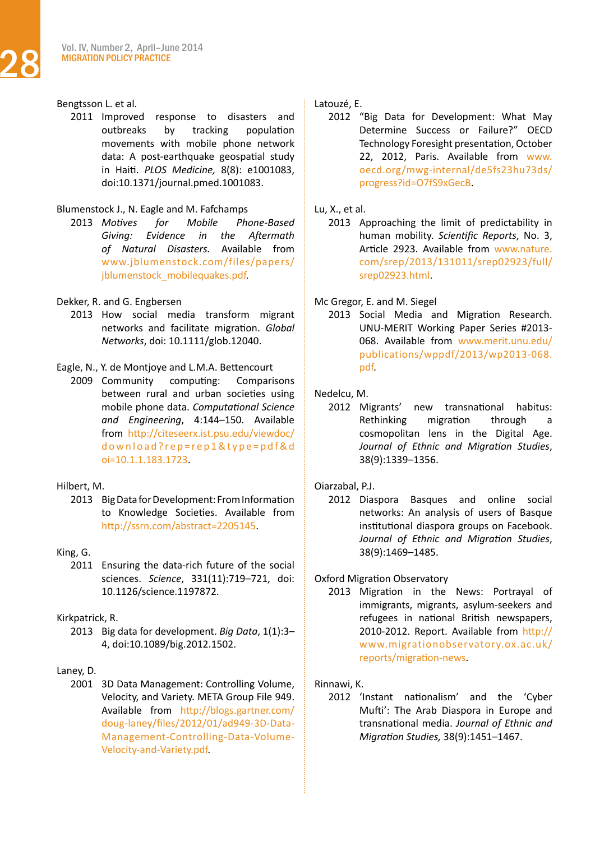# Bengtsson L. et al.

2011 Improved response to disasters and outbreaks by tracking population movements with mobile phone network data: A post-earthquake geospatial study in Haiti. *PLOS Medicine,* 8(8): e1001083, doi:10.1371/journal.pmed.1001083.

### Blumenstock J., N. Eagle and M. Fafchamps

2013 *Motives for Mobile Phone-Based Giving: Evidence in the Aftermath of Natural Disasters.* Available from [www.jblumenstock.com/files/papers/](http://www.jblumenstock.com/files/papers/jblumenstock_mobilequakes.pdf) jblumenstock mobilequakes.pdf.

# Dekker, R. and G. Engbersen

2013 How social media transform migrant networks and facilitate migration. *Global Networks*, doi: 10.1111/glob.12040.

# Eagle, N., Y. de Montjoye and L.M.A. Bettencourt

2009 Community computing: Comparisons between rural and urban societies using mobile phone data. *Computational Science and Engineering*, 4:144–150. Available from [http://citeseerx.ist.psu.edu/viewdoc/](http://citeseerx.ist.psu.edu/viewdoc/download?rep=rep1&type=pdf&doi=10.1.1.183.1723) [download?rep=rep1&type=pdf&d](http://citeseerx.ist.psu.edu/viewdoc/download?rep=rep1&type=pdf&doi=10.1.1.183.1723) [oi=10.1.1.183.1723.](http://citeseerx.ist.psu.edu/viewdoc/download?rep=rep1&type=pdf&doi=10.1.1.183.1723)

# Hilbert, M.

2013 Big Data for Development: From Information to Knowledge Societies. Available from <http://ssrn.com/abstract=2205145>.

# King, G.

2011 Ensuring the data-rich future of the social sciences. *Science*, 331(11):719–721, doi: 10.1126/science.1197872.

# Kirkpatrick, R.

2013 Big data for development. *Big Data*, 1(1):3– 4, doi:10.1089/big.2012.1502.

# Laney, D.

2001 3D Data Management: Controlling Volume, Velocity, and Variety. META Group File 949. Available from [http://blogs.gartner.com/](http://blogs.gartner.com/doug-laney/files/2012/01/ad949-3D-Data-Management-Controlling-Data-Volume-Velocity-and-Variety.pdf) [doug-laney/files/2012/01/ad949-3D-Data-](http://blogs.gartner.com/doug-laney/files/2012/01/ad949-3D-Data-Management-Controlling-Data-Volume-Velocity-and-Variety.pdf)[Management-Controlling-Data-Volume-](http://blogs.gartner.com/doug-laney/files/2012/01/ad949-3D-Data-Management-Controlling-Data-Volume-Velocity-and-Variety.pdf)[Velocity-and-Variety.pdf.](http://blogs.gartner.com/doug-laney/files/2012/01/ad949-3D-Data-Management-Controlling-Data-Volume-Velocity-and-Variety.pdf)

# Latouzé, E.

2012 "Big Data for Development: What May Determine Success or Failure?" OECD Technology Foresight presentation, October 22, 2012, Paris. Available from [www.](http://www.oecd.org/mwg-internal/de5fs23hu73ds/progress?id=O7fS9xGecB) [oecd.org/mwg-internal/de5fs23hu73ds/](http://www.oecd.org/mwg-internal/de5fs23hu73ds/progress?id=O7fS9xGecB) [progress?id=O7fS9xGecB](http://www.oecd.org/mwg-internal/de5fs23hu73ds/progress?id=O7fS9xGecB).

# Lu, X., et al.

2013 Approaching the limit of predictability in human mobility. *Scientific Reports*, No. 3, Article 2923. Available from [www.nature.](http://www.nature.com/srep/2013/131011/srep02923/full/srep02923.html) [com/srep/2013/131011/srep02923/full/](http://www.nature.com/srep/2013/131011/srep02923/full/srep02923.html) [srep02923.html](http://www.nature.com/srep/2013/131011/srep02923/full/srep02923.html).

# Mc Gregor, E. and M. Siegel

2013 Social Media and Migration Research. UNU-MERIT Working Paper Series #2013- 068. Available from [www.merit.unu.edu/](http://www.merit.unu.edu/publications/wppdf/2013/wp2013-068.pdf) [publications/wppdf/2013/wp2013-068.](http://www.merit.unu.edu/publications/wppdf/2013/wp2013-068.pdf) [pdf.](http://www.merit.unu.edu/publications/wppdf/2013/wp2013-068.pdf)

# Nedelcu, M.

2012 Migrants' new transnational habitus: Rethinking migration through a cosmopolitan lens in the Digital Age. *Journal of Ethnic and Migration Studies*, 38(9):1339–1356.

# Oiarzabal, P.J.

2012 Diaspora Basques and online social networks: An analysis of users of Basque institutional diaspora groups on Facebook. *Journal of Ethnic and Migration Studies*, 38(9):1469–1485.

# Oxford Migration Observatory

2013 Migration in the News: Portrayal of immigrants, migrants, asylum-seekers and refugees in national British newspapers, 2010-2012. Report. Available from [http://](http://www.migrationobservatory.ox.ac.uk/reports/migration-news) [www.migrationobservatory.ox.ac.uk/](http://www.migrationobservatory.ox.ac.uk/reports/migration-news) [reports/migration-news](http://www.migrationobservatory.ox.ac.uk/reports/migration-news).

# Rinnawi, K.

2012 'Instant nationalism' and the 'Cyber Mufti': The Arab Diaspora in Europe and transnational media. *Journal of Ethnic and Migration Studies,* 38(9):1451–1467.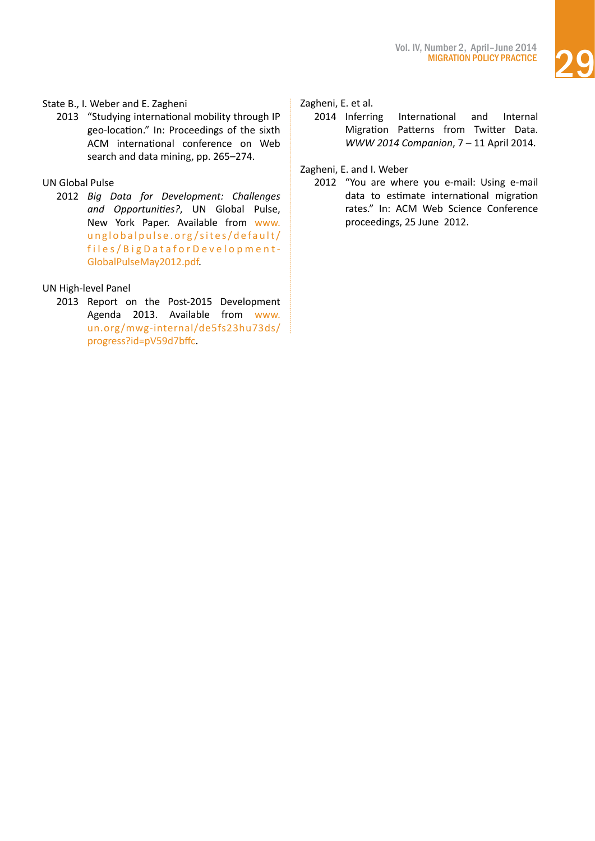

# State B., I. Weber and E. Zagheni

2013 "Studying international mobility through IP geo-location." In: Proceedings of the sixth ACM international conference on Web search and data mining, pp. 265–274.

# UN Global Pulse

2012 *Big Data for Development: Challenges and Opportunities?*, UN Global Pulse, New York Paper. Available from [www.](http://www.unglobalpulse.org/sites/default/files/BigDataforDevelopment-GlobalPulseMay2012.pdf) [unglobalpulse.org/sites/default/](http://www.unglobalpulse.org/sites/default/files/BigDataforDevelopment-GlobalPulseMay2012.pdf) [files/BigDataforDevelopment-](http://www.unglobalpulse.org/sites/default/files/BigDataforDevelopment-GlobalPulseMay2012.pdf)[GlobalPulseMay2012.pdf.](http://www.unglobalpulse.org/sites/default/files/BigDataforDevelopment-GlobalPulseMay2012.pdf)

# UN High-level Panel

2013 Report on the Post-2015 Development Agenda 2013. Available from [www.](http://www.un.org/mwg-internal/de5fs23hu73ds/progress?id=pV59d7bffc) [un.org/mwg-internal/de5fs23hu73ds/](http://www.un.org/mwg-internal/de5fs23hu73ds/progress?id=pV59d7bffc) [progress?id=pV59d7bffc.](http://www.un.org/mwg-internal/de5fs23hu73ds/progress?id=pV59d7bffc)

# Zagheni, E. et al.

2014 Inferring International and Internal Migration Patterns from Twitter Data. *WWW 2014 Companion*, 7 – 11 April 2014.

Zagheni, E. and I. Weber

2012 "You are where you e-mail: Using e-mail data to estimate international migration rates." In: ACM Web Science Conference proceedings, 25 June 2012.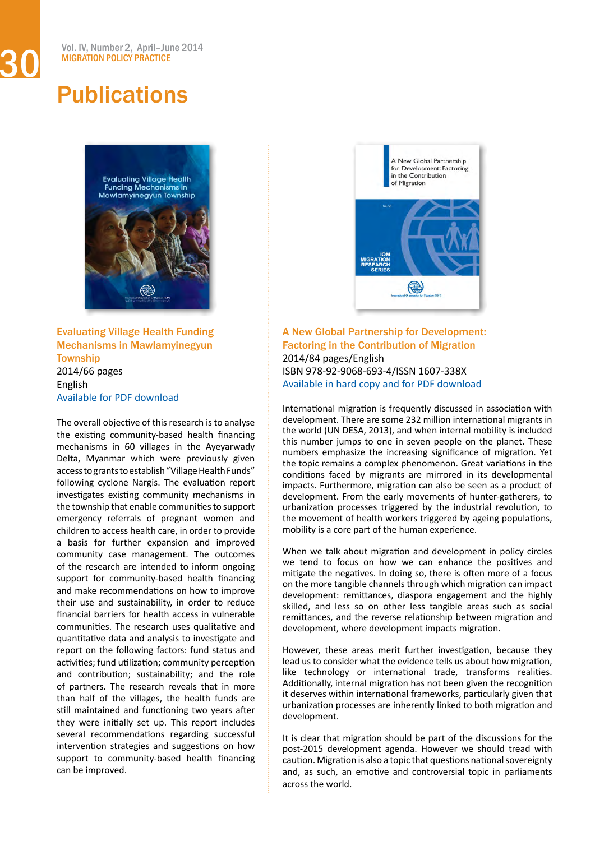<span id="page-29-0"></span>

Evaluating Village Health Funding Mechanisms in Mawlamyinegyun **Township** 2014/66 pages English Available for PDF [download](http://publications.iom.int/bookstore/index.php?main_page=product_info&cPath=41_7&products_id=1147)

The overall objective of this research is to analyse the existing community-based health financing mechanisms in 60 villages in the Ayeyarwady Delta, Myanmar which were previously given access to grants to establish "Village Health Funds" following cyclone Nargis. The evaluation report investigates existing community mechanisms in the township that enable communities to support emergency referrals of pregnant women and children to access health care, in order to provide a basis for further expansion and improved community case management. The outcomes of the research are intended to inform ongoing support for community-based health financing and make recommendations on how to improve their use and sustainability, in order to reduce financial barriers for health access in vulnerable communities. The research uses qualitative and quantitative data and analysis to investigate and report on the following factors: fund status and activities; fund utilization; community perception and contribution; sustainability; and the role of partners. The research reveals that in more than half of the villages, the health funds are still maintained and functioning two years after they were initially set up. This report includes several recommendations regarding successful intervention strategies and suggestions on how support to community-based health financing can be improved.



A New Global Partnership for Development: Factoring in the Contribution of Migration 2014/84 pages/English ISBN 978-92-9068-693-4/ISSN 1607-338X Available in hard copy and for PDF [download](http://publications.iom.int/bookstore/index.php?main_page=product_info&cPath=2_3&products_id=1091)

International migration is frequently discussed in association with development. There are some 232 million international migrants in the world (UN DESA, 2013), and when internal mobility is included this number jumps to one in seven people on the planet. These numbers emphasize the increasing significance of migration. Yet the topic remains a complex phenomenon. Great variations in the conditions faced by migrants are mirrored in its developmental impacts. Furthermore, migration can also be seen as a product of development. From the early movements of hunter-gatherers, to urbanization processes triggered by the industrial revolution, to the movement of health workers triggered by ageing populations, mobility is a core part of the human experience.

When we talk about migration and development in policy circles we tend to focus on how we can enhance the positives and mitigate the negatives. In doing so, there is often more of a focus on the more tangible channels through which migration can impact development: remittances, diaspora engagement and the highly skilled, and less so on other less tangible areas such as social remittances, and the reverse relationship between migration and development, where development impacts migration.

However, these areas merit further investigation, because they lead us to consider what the evidence tells us about how migration, like technology or international trade, transforms realities. Additionally, internal migration has not been given the recognition it deserves within international frameworks, particularly given that urbanization processes are inherently linked to both migration and development.

It is clear that migration should be part of the discussions for the post-2015 development agenda. However we should tread with caution. Migration is also a topic that questions nationalsovereignty and, as such, an emotive and controversial topic in parliaments across the world.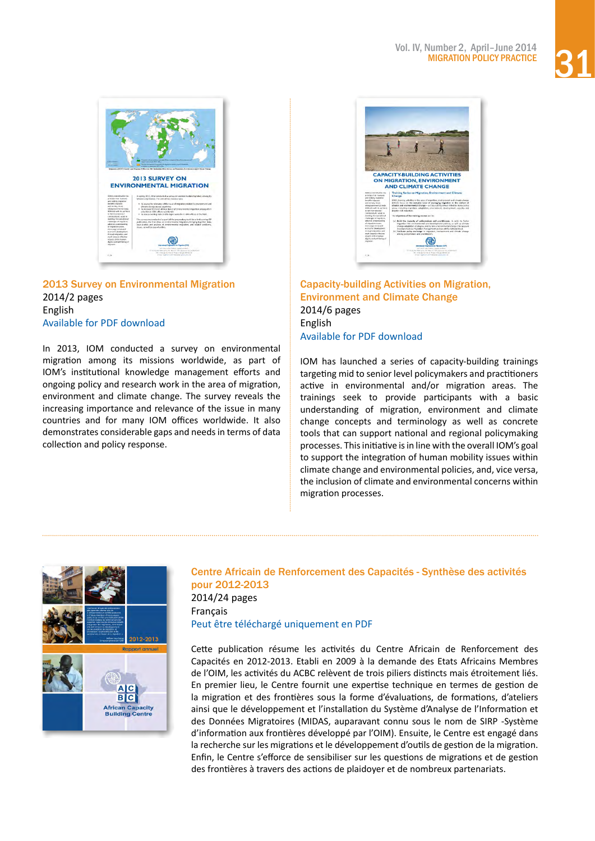



# 2013 Survey on Environmental Migration 2014/2 pages English Available for PDF [download](http://publications.iom.int/bookstore/index.php?main_page=product_info&cPath=34&products_id=1145)

In 2013, IOM conducted a survey on environmental migration among its missions worldwide, as part of IOM's institutional knowledge management efforts and ongoing policy and research work in the area of migration, environment and climate change. The survey reveals the increasing importance and relevance of the issue in many countries and for many IOM offices worldwide. It also demonstrates considerable gaps and needs in terms of data collection and policy response.



Capacity-building Activities on Migration, Environment and Climate Change 2014/6 pages English Available for PDF [download](http://publications.iom.int/bookstore/index.php?main_page=product_info&cPath=34&products_id=1144)

IOM has launched a series of capacity-building trainings targeting mid to senior level policymakers and practitioners active in environmental and/or migration areas. The trainings seek to provide participants with a basic understanding of migration, environment and climate change concepts and terminology as well as concrete tools that can support national and regional policymaking processes. Thisinitiative isin line with the overall IOM's goal to support the integration of human mobility issues within climate change and environmental policies, and, vice versa, the inclusion of climate and environmental concerns within migration processes.



# Centre Africain de Renforcement des Capacités - Synthèse des activités pour 2012-2013 2014/24 pages Français

Peut être téléchargé [uniquement](http://publications.iom.int/bookstore/index.php?main_page=product_info&cPath=41_7&products_id=1146) en PDF

Cette publication résume les activités du Centre Africain de Renforcement des Capacités en 2012-2013. Etabli en 2009 à la demande des Etats Africains Membres de l'OIM, les activités du ACBC relèvent de trois piliers distincts mais étroitement liés. En premier lieu, le Centre fournit une expertise technique en termes de gestion de la migration et des frontières sous la forme d'évaluations, de formations, d'ateliers ainsi que le développement et l'installation du Système d'Analyse de l'Information et des Données Migratoires (MIDAS, auparavant connu sous le nom de SIRP -Système d'information aux frontières développé par l'OIM). Ensuite, le Centre est engagé dans la recherche sur les migrations et le développement d'outils de gestion de la migration. Enfin, le Centre s'efforce de sensibiliser sur les questions de migrations et de gestion des frontières à travers des actions de plaidoyer et de nombreux partenariats.